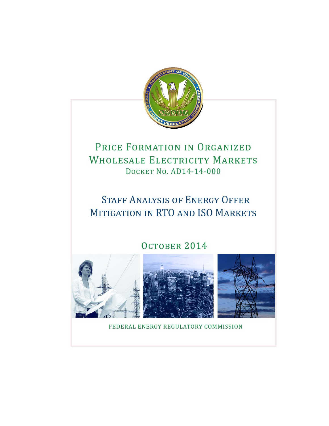

# PRICE FORMATION IN ORGANIZED **WHOLESALE ELECTRICITY MARKETS** DOCKET No. AD14-14-000

# **STAFF ANALYSIS OF ENERGY OFFER** MITIGATION IN RTO AND ISO MARKETS

# OCTOBER 2014







FEDERAL ENERGY REGULATORY COMMISSION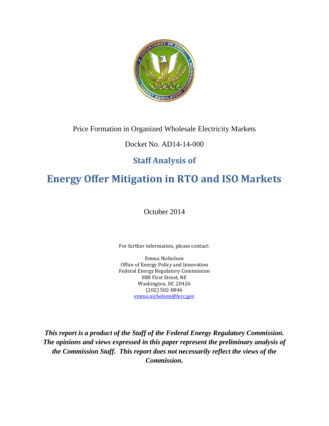

# Price Formation in Organized Wholesale Electricity Markets

# Docket No. AD14-14-000

# **Staff Analysis of**

# **Energy Offer Mitigation in RTO and ISO Markets**

October 2014

For further information, please contact:

Emma Nicholson Office of Energy Policy and Innovation Federal Energy Regulatory Commission 888 First Street, NE Washington, DC 20426 (202) 502‐8846 emma.nicholson@ferc.gov

*This report is a product of the Staff of the Federal Energy Regulatory Commission. The opinions and views expressed in this paper represent the preliminary analysis of the Commission Staff. This report does not necessarily reflect the views of the Commission.*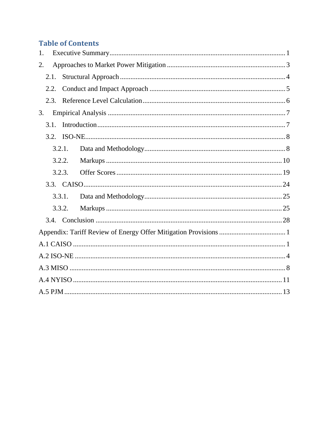# **Table of Contents**

| 1.     |  |
|--------|--|
| 2.     |  |
| 2.1.   |  |
| 2.2.   |  |
| 2.3.   |  |
| 3.     |  |
| 3.1.   |  |
|        |  |
| 3.2.1. |  |
| 3.2.2. |  |
| 3.2.3. |  |
|        |  |
| 3.3.1. |  |
| 3.3.2. |  |
|        |  |
|        |  |
|        |  |
|        |  |
|        |  |
|        |  |
|        |  |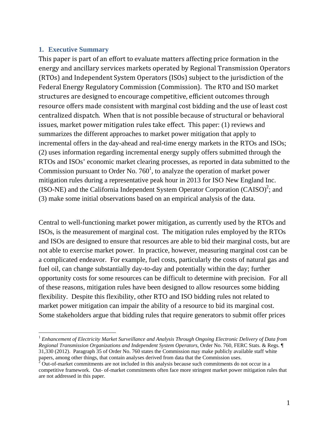#### **1. Executive Summary**

 $\overline{a}$ 

This paper is part of an effort to evaluate matters affecting price formation in the energy and ancillary services markets operated by Regional Transmission Operators (RTOs) and Independent System Operators (ISOs) subject to the jurisdiction of the Federal Energy Regulatory Commission (Commission). The RTO and ISO market structures are designed to encourage competitive, efficient outcomes through resource offers made consistent with marginal cost bidding and the use of least cost centralized dispatch. When that is not possible because of structural or behavioral issues, market power mitigation rules take effect. This paper: (1) reviews and summarizes the different approaches to market power mitigation that apply to incremental offers in the day-ahead and real-time energy markets in the RTOs and ISOs; (2) uses information regarding incremental energy supply offers submitted through the RTOs and ISOs' economic market clearing processes, as reported in data submitted to the Commission pursuant to Order No. 760<sup>1</sup>, to analyze the operation of market power mitigation rules during a representative peak hour in 2013 for ISO New England Inc. (ISO-NE) and the California Independent System Operator Corporation  $(CAISO)^2$ ; and (3) make some initial observations based on an empirical analysis of the data.

Central to well-functioning market power mitigation, as currently used by the RTOs and ISOs, is the measurement of marginal cost. The mitigation rules employed by the RTOs and ISOs are designed to ensure that resources are able to bid their marginal costs, but are not able to exercise market power. In practice, however, measuring marginal cost can be a complicated endeavor. For example, fuel costs, particularly the costs of natural gas and fuel oil, can change substantially day-to-day and potentially within the day; further opportunity costs for some resources can be difficult to determine with precision. For all of these reasons, mitigation rules have been designed to allow resources some bidding flexibility. Despite this flexibility, other RTO and ISO bidding rules not related to market power mitigation can impair the ability of a resource to bid its marginal cost. Some stakeholders argue that bidding rules that require generators to submit offer prices

<sup>1</sup> *Enhancement of Electricity Market Surveillance and Analysis Through Ongoing Electronic Delivery of Data from Regional Transmission Organizations and Independent System Operators*, Order No. 760, FERC Stats. & Regs. ¶ 31,330 (2012). Paragraph 35 of Order No. 760 states the Commission may make publicly available staff white papers, among other things, that contain analyses derived from data that the Commission uses.<br>
<sup>2</sup> Out of merket commitments are not included in this analysis because such commitments do n

Out-of-market commitments are not included in this analysis because such commitments do not occur in a competitive framework. Out- of-market commitments often face more stringent market power mitigation rules that are not addressed in this paper.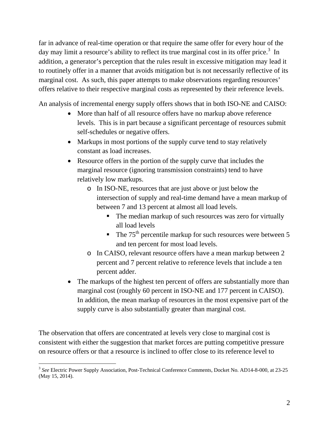far in advance of real-time operation or that require the same offer for every hour of the day may limit a resource's ability to reflect its true marginal cost in its offer price.<sup>3</sup> In addition, a generator's perception that the rules result in excessive mitigation may lead it to routinely offer in a manner that avoids mitigation but is not necessarily reflective of its marginal cost. As such, this paper attempts to make observations regarding resources' offers relative to their respective marginal costs as represented by their reference levels.

An analysis of incremental energy supply offers shows that in both ISO-NE and CAISO:

- More than half of all resource offers have no markup above reference levels. This is in part because a significant percentage of resources submit self-schedules or negative offers.
- Markups in most portions of the supply curve tend to stay relatively constant as load increases.
- Resource offers in the portion of the supply curve that includes the marginal resource (ignoring transmission constraints) tend to have relatively low markups.
	- o In ISO-NE, resources that are just above or just below the intersection of supply and real-time demand have a mean markup of between 7 and 13 percent at almost all load levels.
		- The median markup of such resources was zero for virtually all load levels
		- $\blacksquare$  The 75<sup>th</sup> percentile markup for such resources were between 5 and ten percent for most load levels.
	- o In CAISO, relevant resource offers have a mean markup between 2 percent and 7 percent relative to reference levels that include a ten percent adder.
- The markups of the highest ten percent of offers are substantially more than marginal cost (roughly 60 percent in ISO-NE and 177 percent in CAISO). In addition, the mean markup of resources in the most expensive part of the supply curve is also substantially greater than marginal cost.

The observation that offers are concentrated at levels very close to marginal cost is consistent with either the suggestion that market forces are putting competitive pressure on resource offers or that a resource is inclined to offer close to its reference level to

<sup>3</sup> *See* Electric Power Supply Association, Post-Technical Conference Comments, Docket No. AD14-8-000, at 23-25 (May 15, 2014).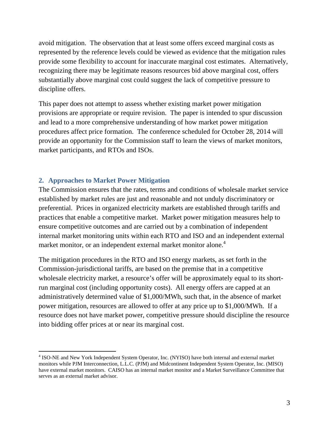avoid mitigation. The observation that at least some offers exceed marginal costs as represented by the reference levels could be viewed as evidence that the mitigation rules provide some flexibility to account for inaccurate marginal cost estimates. Alternatively, recognizing there may be legitimate reasons resources bid above marginal cost, offers substantially above marginal cost could suggest the lack of competitive pressure to discipline offers.

This paper does not attempt to assess whether existing market power mitigation provisions are appropriate or require revision. The paper is intended to spur discussion and lead to a more comprehensive understanding of how market power mitigation procedures affect price formation. The conference scheduled for October 28, 2014 will provide an opportunity for the Commission staff to learn the views of market monitors, market participants, and RTOs and ISOs.

#### **2. Approaches to Market Power Mitigation**

 $\overline{a}$ 

The Commission ensures that the rates, terms and conditions of wholesale market service established by market rules are just and reasonable and not unduly discriminatory or preferential. Prices in organized electricity markets are established through tariffs and practices that enable a competitive market. Market power mitigation measures help to ensure competitive outcomes and are carried out by a combination of independent internal market monitoring units within each RTO and ISO and an independent external market monitor, or an independent external market monitor alone.<sup>4</sup>

The mitigation procedures in the RTO and ISO energy markets, as set forth in the Commission-jurisdictional tariffs, are based on the premise that in a competitive wholesale electricity market, a resource's offer will be approximately equal to its shortrun marginal cost (including opportunity costs). All energy offers are capped at an administratively determined value of \$1,000/MWh, such that, in the absence of market power mitigation, resources are allowed to offer at any price up to \$1,000/MWh. If a resource does not have market power, competitive pressure should discipline the resource into bidding offer prices at or near its marginal cost.

<sup>&</sup>lt;sup>4</sup> ISO-NE and New York Independent System Operator, Inc. (NYISO) have both internal and external market monitors while PJM Interconnection, L.L.C. (PJM) and Midcontinent Independent System Operator, Inc. (MISO) have external market monitors. CAISO has an internal market monitor and a Market Surveillance Committee that serves as an external market advisor.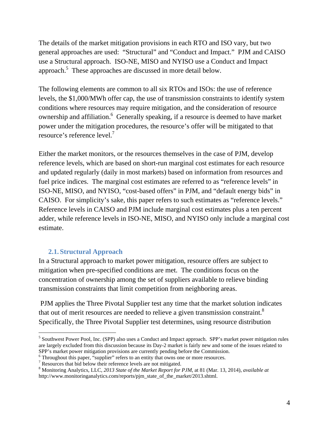The details of the market mitigation provisions in each RTO and ISO vary, but two general approaches are used: "Structural" and "Conduct and Impact." PJM and CAISO use a Structural approach. ISO-NE, MISO and NYISO use a Conduct and Impact approach. $5$  These approaches are discussed in more detail below.

The following elements are common to all six RTOs and ISOs: the use of reference levels, the \$1,000/MWh offer cap, the use of transmission constraints to identify system conditions where resources may require mitigation, and the consideration of resource ownership and affiliation.<sup>6</sup> Generally speaking, if a resource is deemed to have market power under the mitigation procedures, the resource's offer will be mitigated to that resource's reference level.<sup>7</sup>

Either the market monitors, or the resources themselves in the case of PJM, develop reference levels, which are based on short-run marginal cost estimates for each resource and updated regularly (daily in most markets) based on information from resources and fuel price indices. The marginal cost estimates are referred to as "reference levels" in ISO-NE, MISO, and NYISO, "cost-based offers" in PJM, and "default energy bids" in CAISO. For simplicity's sake, this paper refers to such estimates as "reference levels." Reference levels in CAISO and PJM include marginal cost estimates plus a ten percent adder, while reference levels in ISO-NE, MISO, and NYISO only include a marginal cost estimate.

#### **2.1. Structural Approach**

 $\overline{a}$ 

In a Structural approach to market power mitigation, resource offers are subject to mitigation when pre-specified conditions are met. The conditions focus on the concentration of ownership among the set of suppliers available to relieve binding transmission constraints that limit competition from neighboring areas.

 PJM applies the Three Pivotal Supplier test any time that the market solution indicates that out of merit resources are needed to relieve a given transmission constraint. $8$ Specifically, the Three Pivotal Supplier test determines, using resource distribution

<sup>&</sup>lt;sup>5</sup> Southwest Power Pool, Inc. (SPP) also uses a Conduct and Impact approach. SPP's market power mitigation rules are largely excluded from this discussion because its Day-2 market is fairly new and some of the issues related to SPP's market power mitigation provisions are currently pending before the Commission.

<sup>&</sup>lt;sup>6</sup> Throughout this paper, "supplier" refers to an entity that owns one or more resources.

<sup>&</sup>lt;sup>7</sup> Resources that bid below their reference levels are not mitigated.

<sup>8</sup> Monitoring Analytics, LLC, *2013 State of the Market Report for PJM*, at 81 (Mar. 13, 2014), *available at* http://www.monitoringanalytics.com/reports/pjm\_state\_of\_the\_market/2013.shtml.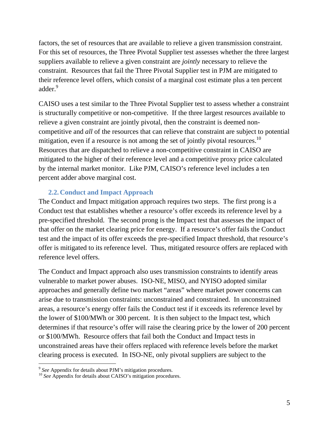factors, the set of resources that are available to relieve a given transmission constraint. For this set of resources, the Three Pivotal Supplier test assesses whether the three largest suppliers available to relieve a given constraint are *jointly* necessary to relieve the constraint. Resources that fail the Three Pivotal Supplier test in PJM are mitigated to their reference level offers, which consist of a marginal cost estimate plus a ten percent adder.<sup>9</sup>

CAISO uses a test similar to the Three Pivotal Supplier test to assess whether a constraint is structurally competitive or non-competitive. If the three largest resources available to relieve a given constraint are jointly pivotal, then the constraint is deemed noncompetitive and *all* of the resources that can relieve that constraint are subject to potential mitigation, even if a resource is not among the set of jointly pivotal resources.<sup>10</sup> Resources that are dispatched to relieve a non-competitive constraint in CAISO are mitigated to the higher of their reference level and a competitive proxy price calculated by the internal market monitor. Like PJM, CAISO's reference level includes a ten percent adder above marginal cost.

#### **2.2. Conduct and Impact Approach**

The Conduct and Impact mitigation approach requires two steps. The first prong is a Conduct test that establishes whether a resource's offer exceeds its reference level by a pre-specified threshold. The second prong is the Impact test that assesses the impact of that offer on the market clearing price for energy. If a resource's offer fails the Conduct test and the impact of its offer exceeds the pre-specified Impact threshold, that resource's offer is mitigated to its reference level. Thus, mitigated resource offers are replaced with reference level offers.

The Conduct and Impact approach also uses transmission constraints to identify areas vulnerable to market power abuses. ISO-NE, MISO, and NYISO adopted similar approaches and generally define two market "areas" where market power concerns can arise due to transmission constraints: unconstrained and constrained. In unconstrained areas, a resource's energy offer fails the Conduct test if it exceeds its reference level by the lower of \$100/MWh or 300 percent. It is then subject to the Impact test, which determines if that resource's offer will raise the clearing price by the lower of 200 percent or \$100/MWh. Resource offers that fail both the Conduct and Impact tests in unconstrained areas have their offers replaced with reference levels before the market clearing process is executed. In ISO-NE, only pivotal suppliers are subject to the

<sup>&</sup>lt;sup>9</sup> *See* Appendix for details about PJM's mitigation procedures.<br><sup>10</sup> *See* Appendix for details about CAISO's mitigation procedures.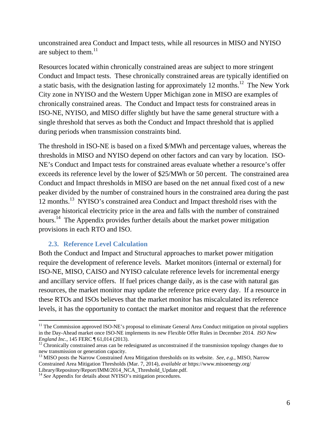unconstrained area Conduct and Impact tests, while all resources in MISO and NYISO are subject to them.<sup>11</sup>

Resources located within chronically constrained areas are subject to more stringent Conduct and Impact tests. These chronically constrained areas are typically identified on a static basis, with the designation lasting for approximately 12 months.<sup>12</sup> The New York City zone in NYISO and the Western Upper Michigan zone in MISO are examples of chronically constrained areas. The Conduct and Impact tests for constrained areas in ISO-NE, NYISO, and MISO differ slightly but have the same general structure with a single threshold that serves as both the Conduct and Impact threshold that is applied during periods when transmission constraints bind.

The threshold in ISO-NE is based on a fixed \$/MWh and percentage values, whereas the thresholds in MISO and NYISO depend on other factors and can vary by location. ISO-NE's Conduct and Impact tests for constrained areas evaluate whether a resource's offer exceeds its reference level by the lower of \$25/MWh or 50 percent. The constrained area Conduct and Impact thresholds in MISO are based on the net annual fixed cost of a new peaker divided by the number of constrained hours in the constrained area during the past 12 months.13 NYISO's constrained area Conduct and Impact threshold rises with the average historical electricity price in the area and falls with the number of constrained hours.<sup>14</sup> The Appendix provides further details about the market power mitigation provisions in each RTO and ISO.

#### **2.3. Reference Level Calculation**

 $\overline{a}$ 

Both the Conduct and Impact and Structural approaches to market power mitigation require the development of reference levels. Market monitors (internal or external) for ISO-NE, MISO, CAISO and NYISO calculate reference levels for incremental energy and ancillary service offers. If fuel prices change daily, as is the case with natural gas resources, the market monitor may update the reference price every day. If a resource in these RTOs and ISOs believes that the market monitor has miscalculated its reference levels, it has the opportunity to contact the market monitor and request that the reference

<sup>&</sup>lt;sup>11</sup> The Commission approved ISO-NE's proposal to eliminate General Area Conduct mitigation on pivotal suppliers in the Day-Ahead market once ISO-NE implements its new Flexible Offer Rules in December 2014. *ISO New England Inc.*, 145 FERC ¶ 61,014 (2013).<br><sup>12</sup> Chronically constrained areas can be redesignated as unconstrained if the transmission topology changes due to

new transmission or generation capacity.

<sup>13</sup> MISO posts the Narrow Constrained Area Mitigation thresholds on its website. *See, e.g.*, MISO, Narrow Constrained Area Mitigation Thresholds (Mar. 7, 2014), *available at* https://www.misoenergy.org/ Library/Repository/Report/IMM/2014\_NCA\_Threshold\_Update.pdf.

<sup>&</sup>lt;sup>14</sup> See Appendix for details about NYISO's mitigation procedures.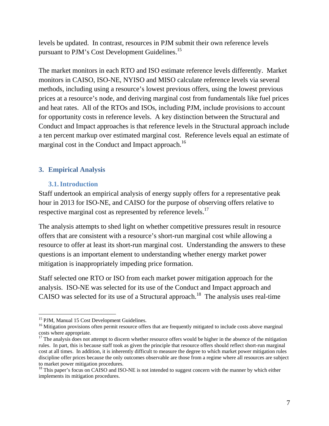levels be updated. In contrast, resources in PJM submit their own reference levels pursuant to PJM's Cost Development Guidelines.15

The market monitors in each RTO and ISO estimate reference levels differently. Market monitors in CAISO, ISO-NE, NYISO and MISO calculate reference levels via several methods, including using a resource's lowest previous offers, using the lowest previous prices at a resource's node, and deriving marginal cost from fundamentals like fuel prices and heat rates. All of the RTOs and ISOs, including PJM, include provisions to account for opportunity costs in reference levels. A key distinction between the Structural and Conduct and Impact approaches is that reference levels in the Structural approach include a ten percent markup over estimated marginal cost. Reference levels equal an estimate of marginal cost in the Conduct and Impact approach.<sup>16</sup>

# **3. Empirical Analysis**

#### **3.1.Introduction**

Staff undertook an empirical analysis of energy supply offers for a representative peak hour in 2013 for ISO-NE, and CAISO for the purpose of observing offers relative to respective marginal cost as represented by reference levels.<sup>17</sup>

The analysis attempts to shed light on whether competitive pressures result in resource offers that are consistent with a resource's short-run marginal cost while allowing a resource to offer at least its short-run marginal cost. Understanding the answers to these questions is an important element to understanding whether energy market power mitigation is inappropriately impeding price formation.

Staff selected one RTO or ISO from each market power mitigation approach for the analysis. ISO-NE was selected for its use of the Conduct and Impact approach and CAISO was selected for its use of a Structural approach.<sup>18</sup> The analysis uses real-time

<sup>&</sup>lt;sup>15</sup> PJM, Manual 15 Cost Development Guidelines.

<sup>&</sup>lt;sup>16</sup> Mitigation provisions often permit resource offers that are frequently mitigated to include costs above marginal costs where appropriate.

 $17$  The analysis does not attempt to discern whether resource offers would be higher in the absence of the mitigation rules. In part, this is because staff took as given the principle that resource offers should reflect short-run marginal cost at all times. In addition, it is inherently difficult to measure the degree to which market power mitigation rules discipline offer prices because the only outcomes observable are those from a regime where all resources are subject to market power mitigation procedures.

<sup>&</sup>lt;sup>18</sup> This paper's focus on CAISO and ISO-NE is not intended to suggest concern with the manner by which either implements its mitigation procedures.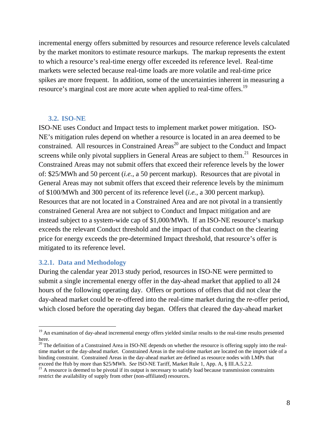incremental energy offers submitted by resources and resource reference levels calculated by the market monitors to estimate resource markups. The markup represents the extent to which a resource's real-time energy offer exceeded its reference level. Real-time markets were selected because real-time loads are more volatile and real-time price spikes are more frequent. In addition, some of the uncertainties inherent in measuring a resource's marginal cost are more acute when applied to real-time offers.<sup>19</sup>

#### **3.2. ISO-NE**

ISO-NE uses Conduct and Impact tests to implement market power mitigation. ISO-NE's mitigation rules depend on whether a resource is located in an area deemed to be constrained. All resources in Constrained Areas<sup>20</sup> are subject to the Conduct and Impact screens while only pivotal suppliers in General Areas are subject to them.<sup>21</sup> Resources in Constrained Areas may not submit offers that exceed their reference levels by the lower of: \$25/MWh and 50 percent (*i.e.*, a 50 percent markup). Resources that are pivotal in General Areas may not submit offers that exceed their reference levels by the minimum of \$100/MWh and 300 percent of its reference level (*i.e.*, a 300 percent markup). Resources that are not located in a Constrained Area and are not pivotal in a transiently constrained General Area are not subject to Conduct and Impact mitigation and are instead subject to a system-wide cap of \$1,000/MWh. If an ISO-NE resource's markup exceeds the relevant Conduct threshold and the impact of that conduct on the clearing price for energy exceeds the pre-determined Impact threshold, that resource's offer is mitigated to its reference level.

#### **3.2.1. Data and Methodology**

 $\overline{a}$ 

During the calendar year 2013 study period, resources in ISO-NE were permitted to submit a single incremental energy offer in the day-ahead market that applied to all 24 hours of the following operating day. Offers or portions of offers that did not clear the day-ahead market could be re-offered into the real-time market during the re-offer period, which closed before the operating day began. Offers that cleared the day-ahead market

<sup>&</sup>lt;sup>19</sup> An examination of day-ahead incremental energy offers yielded similar results to the real-time results presented here.

<sup>&</sup>lt;sup>20</sup> The definition of a Constrained Area in ISO-NE depends on whether the resource is offering supply into the realtime market or the day-ahead market. Constrained Areas in the real-time market are located on the import side of a binding constraint. Constrained Areas in the day-ahead market are defined as resource nodes with LMPs that exceed the Hub by more than \$25/MWh. See ISO-NE Tariff, Market Rule 1, App. A, § III.A.5.2.2.

<sup>&</sup>lt;sup>21</sup> A resource is deemed to be pivotal if its output is necessary to satisfy load because transmission constraints restrict the availability of supply from other (non-affiliated) resources.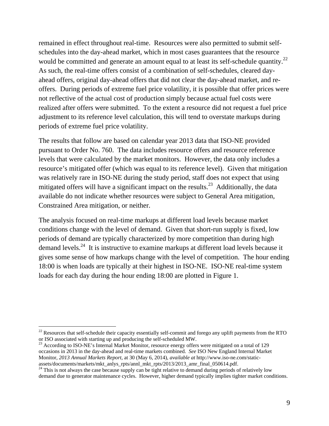remained in effect throughout real-time. Resources were also permitted to submit selfschedules into the day-ahead market, which in most cases guarantees that the resource would be committed and generate an amount equal to at least its self-schedule quantity.<sup>22</sup> As such, the real-time offers consist of a combination of self-schedules, cleared dayahead offers, original day-ahead offers that did not clear the day-ahead market, and reoffers. During periods of extreme fuel price volatility, it is possible that offer prices were not reflective of the actual cost of production simply because actual fuel costs were realized after offers were submitted. To the extent a resource did not request a fuel price adjustment to its reference level calculation, this will tend to overstate markups during periods of extreme fuel price volatility.

The results that follow are based on calendar year 2013 data that ISO-NE provided pursuant to Order No. 760. The data includes resource offers and resource reference levels that were calculated by the market monitors. However, the data only includes a resource's mitigated offer (which was equal to its reference level). Given that mitigation was relatively rare in ISO-NE during the study period, staff does not expect that using mitigated offers will have a significant impact on the results.<sup>23</sup> Additionally, the data available do not indicate whether resources were subject to General Area mitigation, Constrained Area mitigation, or neither.

The analysis focused on real-time markups at different load levels because market conditions change with the level of demand. Given that short-run supply is fixed, low periods of demand are typically characterized by more competition than during high demand levels.<sup>24</sup> It is instructive to examine markups at different load levels because it gives some sense of how markups change with the level of competition. The hour ending 18:00 is when loads are typically at their highest in ISO-NE. ISO-NE real-time system loads for each day during the hour ending 18:00 are plotted in Figure 1.

 $^{22}$  Resources that self-schedule their capacity essentially self-commit and forego any uplift payments from the RTO or ISO associated with starting up and producing the self-scheduled MW.

 $^{23}$  According to ISO-NE's Internal Market Monitor, resource energy offers were mitigated on a total of 129 occasions in 2013 in the day-ahead and real-time markets combined. *See* ISO New England Internal Market Monitor, *2013 Annual Markets Report*, at 30 (May 6, 2014), *available at* http://www.iso-ne.com/staticassets/documents/markets/mkt\_anlys\_rpts/annl\_mkt\_rpts/2013/2013\_amr\_final\_050614.pdf.

<sup>&</sup>lt;sup>24</sup> This is not always the case because supply can be tight relative to demand during periods of relatively low demand due to generator maintenance cycles. However, higher demand typically implies tighter market conditions.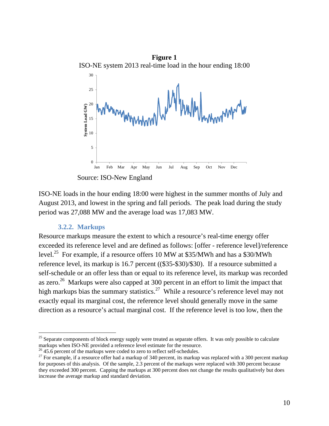

Source: ISO-New England

ISO-NE loads in the hour ending 18:00 were highest in the summer months of July and August 2013, and lowest in the spring and fall periods. The peak load during the study period was 27,088 MW and the average load was 17,083 MW.

#### **3.2.2. Markups**

 $\overline{a}$ 

Resource markups measure the extent to which a resource's real-time energy offer exceeded its reference level and are defined as follows: [offer - reference level]/reference level.<sup>25</sup> For example, if a resource offers 10 MW at \$35/MWh and has a \$30/MWh reference level, its markup is 16.7 percent ((\$35-\$30)/\$30). If a resource submitted a self-schedule or an offer less than or equal to its reference level, its markup was recorded as zero.<sup>26</sup> Markups were also capped at 300 percent in an effort to limit the impact that high markups bias the summary statistics.<sup>27</sup> While a resource's reference level may not exactly equal its marginal cost, the reference level should generally move in the same direction as a resource's actual marginal cost. If the reference level is too low, then the

 $25$  Separate components of block energy supply were treated as separate offers. It was only possible to calculate markups when ISO-NE provided a reference level estimate for the resource.

 $^{26}$  45.6 percent of the markups were coded to zero to reflect self-schedules.

 $27$  For example, if a resource offer had a markup of 340 percent, its markup was replaced with a 300 percent markup for purposes of this analysis. Of the sample, 2.3 percent of the markups were replaced with 300 percent because they exceeded 300 percent. Capping the markups at 300 percent does not change the results qualitatively but does increase the average markup and standard deviation.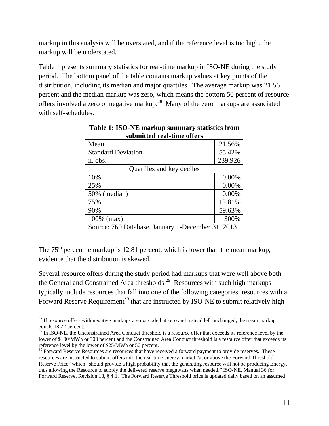markup in this analysis will be overstated, and if the reference level is too high, the markup will be understated.

Table 1 presents summary statistics for real-time markup in ISO-NE during the study period. The bottom panel of the table contains markup values at key points of the distribution, including its median and major quartiles. The average markup was 21.56 percent and the median markup was zero, which means the bottom 50 percent of resource offers involved a zero or negative markup.28 Many of the zero markups are associated with self-schedules.

| submnuu rai-mnu onurs                                               |         |  |  |  |  |  |
|---------------------------------------------------------------------|---------|--|--|--|--|--|
| Mean                                                                | 21.56%  |  |  |  |  |  |
| <b>Standard Deviation</b>                                           | 55.42%  |  |  |  |  |  |
| n. obs.                                                             | 239,926 |  |  |  |  |  |
| Quartiles and key deciles                                           |         |  |  |  |  |  |
| 10%                                                                 | 0.00%   |  |  |  |  |  |
| 25%                                                                 | 0.00%   |  |  |  |  |  |
| 50% (median)                                                        | 0.00%   |  |  |  |  |  |
| 75%                                                                 | 12.81%  |  |  |  |  |  |
| 90%                                                                 | 59.63%  |  |  |  |  |  |
| 100% (max)                                                          | 300%    |  |  |  |  |  |
| $H \wedge N$ $\cdots$<br>$\blacksquare$<br>п.<br><b>T</b><br>$\sim$ | 21.2012 |  |  |  |  |  |

**Table 1: ISO-NE markup summary statistics from submitted real-time offers** 

Source: 760 Database, January 1-December 31, 2013

The  $75<sup>th</sup>$  percentile markup is 12.81 percent, which is lower than the mean markup, evidence that the distribution is skewed.

Several resource offers during the study period had markups that were well above both the General and Constrained Area thresholds.<sup>29</sup> Resources with such high markups typically include resources that fall into one of the following categories: resources with a Forward Reserve Requirement<sup>30</sup> that are instructed by ISO-NE to submit relatively high

<sup>&</sup>lt;sup>28</sup> If resource offers with negative markups are not coded at zero and instead left unchanged, the mean markup equals 18.72 percent.

 $^{29}$  In ISO-NE, the Unconstrained Area Conduct threshold is a resource offer that exceeds its reference level by the lower of \$100/MWh or 300 percent and the Constrained Area Conduct threshold is a resource offer that exceeds its reference level by the lower of \$25/MWh or 50 percent.

<sup>&</sup>lt;sup>30</sup> Forward Reserve Resources are resources that have received a forward payment to provide reserves. These resources are instructed to submit offers into the real-time energy market "at or above the Forward Threshold Reserve Price" which "should provide a high probability that the generating resource will not be producing Energy, thus allowing the Resource to supply the delivered reserve megawatts when needed." ISO-NE, Manual 36 for Forward Reserve, Revision 18, § 4.1. The Forward Reserve Threshold price is updated daily based on an assumed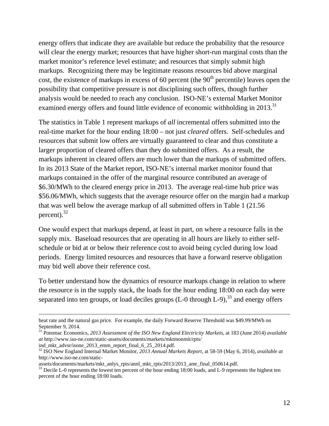energy offers that indicate they are available but reduce the probability that the resource will clear the energy market; resources that have higher short-run marginal costs than the market monitor's reference level estimate; and resources that simply submit high markups. Recognizing there may be legitimate reasons resources bid above marginal cost, the existence of markups in excess of 60 percent (the  $90<sup>th</sup>$  percentile) leaves open the possibility that competitive pressure is not disciplining such offers, though further analysis would be needed to reach any conclusion. ISO-NE's external Market Monitor examined energy offers and found little evidence of economic withholding in 2013.<sup>31</sup>

The statistics in Table 1 represent markups of *all* incremental offers submitted into the real-time market for the hour ending 18:00 – not just *cleared* offers. Self-schedules and resources that submit low offers are virtually guaranteed to clear and thus constitute a larger proportion of cleared offers than they do submitted offers. As a result, the markups inherent in cleared offers are much lower than the markups of submitted offers. In its 2013 State of the Market report, ISO-NE's internal market monitor found that markups contained in the offer of the marginal resource contributed an average of \$6.30/MWh to the cleared energy price in 2013. The average real-time hub price was \$56.06/MWh, which suggests that the average resource offer on the margin had a markup that was well below the average markup of all submitted offers in Table 1 (21.56 percent). $32$ 

One would expect that markups depend, at least in part, on where a resource falls in the supply mix. Baseload resources that are operating in all hours are likely to either selfschedule or bid at or below their reference cost to avoid being cycled during low load periods. Energy limited resources and resources that have a forward reserve obligation may bid well above their reference cost.

To better understand how the dynamics of resource markups change in relation to where the resource is in the supply stack, the loads for the hour ending 18:00 on each day were separated into ten groups, or load deciles groups  $(L-0)$  through  $L-9$ ,  $33$  and energy offers

ind\_mkt\_advsr/isone\_2013\_emm\_report\_final\_6\_25\_2014.pdf.

heat rate and the natural gas price. For example, the daily Forward Reserve Threshold was \$49.99/MWh on September 9, 2014.

<sup>31</sup> Potomac Economics, *2013 Assessment of the ISO New England Electricity Markets*, at 183 (June 2014) *available at* http://www.iso-ne.com/static-assets/documents/markets/mktmonmit/rpts/

<sup>32</sup> ISO New England Internal Market Monitor, *2013 Annual Markets Report*, at 58-59 (May 6, 2014), *available at*  http://www.iso-ne.com/static-

assets/documents/markets/mkt\_anlys\_rpts/annl\_mkt\_rpts/2013/2013\_amr\_final\_050614.pdf.

<sup>&</sup>lt;sup>33</sup> Decile L-0 represents the lowest ten percent of the hour ending 18:00 loads, and L-9 represents the highest ten percent of the hour ending 18:00 loads.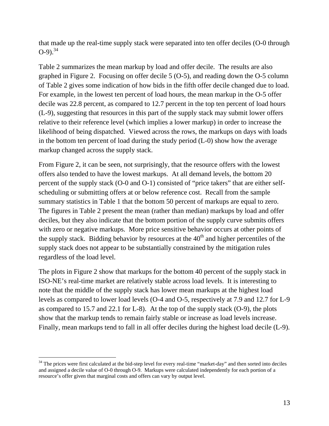that made up the real-time supply stack were separated into ten offer deciles (O-0 through  $(0-9)^{34}$ 

Table 2 summarizes the mean markup by load and offer decile. The results are also graphed in Figure 2. Focusing on offer decile 5 (O-5), and reading down the O-5 column of Table 2 gives some indication of how bids in the fifth offer decile changed due to load. For example, in the lowest ten percent of load hours, the mean markup in the O-5 offer decile was 22.8 percent, as compared to 12.7 percent in the top ten percent of load hours (L-9), suggesting that resources in this part of the supply stack may submit lower offers relative to their reference level (which implies a lower markup) in order to increase the likelihood of being dispatched. Viewed across the rows, the markups on days with loads in the bottom ten percent of load during the study period (L-0) show how the average markup changed across the supply stack.

From Figure 2, it can be seen, not surprisingly, that the resource offers with the lowest offers also tended to have the lowest markups. At all demand levels, the bottom 20 percent of the supply stack (O-0 and O-1) consisted of "price takers" that are either selfscheduling or submitting offers at or below reference cost. Recall from the sample summary statistics in Table 1 that the bottom 50 percent of markups are equal to zero. The figures in Table 2 present the mean (rather than median) markups by load and offer deciles, but they also indicate that the bottom portion of the supply curve submits offers with zero or negative markups. More price sensitive behavior occurs at other points of the supply stack. Bidding behavior by resources at the  $40<sup>th</sup>$  and higher percentiles of the supply stack does not appear to be substantially constrained by the mitigation rules regardless of the load level.

The plots in Figure 2 show that markups for the bottom 40 percent of the supply stack in ISO-NE's real-time market are relatively stable across load levels. It is interesting to note that the middle of the supply stack has lower mean markups at the highest load levels as compared to lower load levels (O-4 and O-5, respectively at 7.9 and 12.7 for L-9 as compared to 15.7 and 22.1 for L-8). At the top of the supply stack (O-9), the plots show that the markup tends to remain fairly stable or increase as load levels increase. Finally, mean markups tend to fall in all offer deciles during the highest load decile (L-9).

<sup>&</sup>lt;sup>34</sup> The prices were first calculated at the bid-step level for every real-time "market-day" and then sorted into deciles and assigned a decile value of O-0 through O-9. Markups were calculated independently for each portion of a resource's offer given that marginal costs and offers can vary by output level.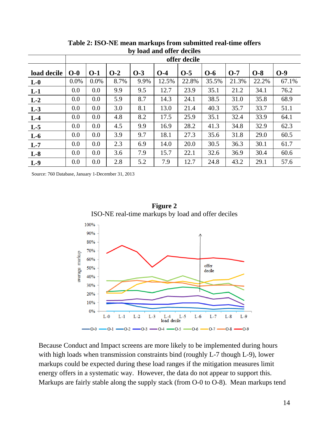|             | $\sim$ $\alpha$<br>$\sim$ |              |       |       |       |       |       |       |       |       |
|-------------|---------------------------|--------------|-------|-------|-------|-------|-------|-------|-------|-------|
|             |                           | offer decile |       |       |       |       |       |       |       |       |
| load decile | $O-0$                     | $O-1$        | $O-2$ | $O-3$ | $O-4$ | $O-5$ | $O-6$ | $O-7$ | $O-8$ | $O-9$ |
| $L-0$       | 0.0%                      | 0.0%         | 8.7%  | 9.9%  | 12.5% | 22.8% | 35.5% | 21.3% | 22.2% | 67.1% |
| $L-1$       | 0.0                       | 0.0          | 9.9   | 9.5   | 12.7  | 23.9  | 35.1  | 21.2  | 34.1  | 76.2  |
| $L-2$       | 0.0                       | 0.0          | 5.9   | 8.7   | 14.3  | 24.1  | 38.5  | 31.0  | 35.8  | 68.9  |
| $L-3$       | 0.0                       | 0.0          | 3.0   | 8.1   | 13.0  | 21.4  | 40.3  | 35.7  | 33.7  | 51.1  |
| $L-4$       | 0.0                       | 0.0          | 4.8   | 8.2   | 17.5  | 25.9  | 35.1  | 32.4  | 33.9  | 64.1  |
| $L-5$       | 0.0                       | 0.0          | 4.5   | 9.9   | 16.9  | 28.2  | 41.3  | 34.8  | 32.9  | 62.3  |
| $L-6$       | 0.0                       | 0.0          | 3.9   | 9.7   | 18.1  | 27.3  | 35.6  | 31.8  | 29.0  | 60.5  |
| $L-7$       | 0.0                       | 0.0          | 2.3   | 6.9   | 14.0  | 20.0  | 30.5  | 36.3  | 30.1  | 61.7  |
| $L-8$       | 0.0                       | 0.0          | 3.6   | 7.9   | 15.7  | 22.1  | 32.6  | 36.9  | 30.4  | 60.6  |
| $L-9$       | 0.0                       | 0.0          | 2.8   | 5.2   | 7.9   | 12.7  | 24.8  | 43.2  | 29.1  | 57.6  |

**Table 2: ISO-NE mean markups from submitted real-time offers by load and offer deciles**

Source: 760 Database, January 1-December 31, 2013



**Figure 2** 

Because Conduct and Impact screens are more likely to be implemented during hours with high loads when transmission constraints bind (roughly L-7 though L-9), lower markups could be expected during these load ranges if the mitigation measures limit energy offers in a systematic way. However, the data do not appear to support this. Markups are fairly stable along the supply stack (from O-0 to O-8). Mean markups tend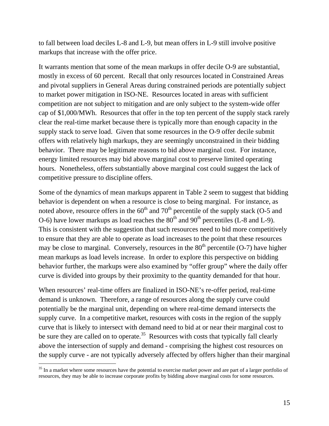to fall between load deciles L-8 and L-9, but mean offers in L-9 still involve positive markups that increase with the offer price.

It warrants mention that some of the mean markups in offer decile O-9 are substantial, mostly in excess of 60 percent. Recall that only resources located in Constrained Areas and pivotal suppliers in General Areas during constrained periods are potentially subject to market power mitigation in ISO-NE. Resources located in areas with sufficient competition are not subject to mitigation and are only subject to the system-wide offer cap of \$1,000/MWh. Resources that offer in the top ten percent of the supply stack rarely clear the real-time market because there is typically more than enough capacity in the supply stack to serve load. Given that some resources in the O-9 offer decile submit offers with relatively high markups, they are seemingly unconstrained in their bidding behavior. There may be legitimate reasons to bid above marginal cost. For instance, energy limited resources may bid above marginal cost to preserve limited operating hours. Nonetheless, offers substantially above marginal cost could suggest the lack of competitive pressure to discipline offers.

Some of the dynamics of mean markups apparent in Table 2 seem to suggest that bidding behavior is dependent on when a resource is close to being marginal. For instance, as noted above, resource offers in the  $60<sup>th</sup>$  and  $70<sup>th</sup>$  percentile of the supply stack (O-5 and O-6) have lower markups as load reaches the  $80<sup>th</sup>$  and  $90<sup>th</sup>$  percentiles (L-8 and L-9). This is consistent with the suggestion that such resources need to bid more competitively to ensure that they are able to operate as load increases to the point that these resources may be close to marginal. Conversely, resources in the  $80<sup>th</sup>$  percentile (O-7) have higher mean markups as load levels increase. In order to explore this perspective on bidding behavior further, the markups were also examined by "offer group" where the daily offer curve is divided into groups by their proximity to the quantity demanded for that hour.

When resources' real-time offers are finalized in ISO-NE's re-offer period, real-time demand is unknown. Therefore, a range of resources along the supply curve could potentially be the marginal unit, depending on where real-time demand intersects the supply curve. In a competitive market, resources with costs in the region of the supply curve that is likely to intersect with demand need to bid at or near their marginal cost to be sure they are called on to operate.<sup>35</sup> Resources with costs that typically fall clearly above the intersection of supply and demand - comprising the highest cost resources on the supply curve - are not typically adversely affected by offers higher than their marginal

<sup>&</sup>lt;sup>35</sup> In a market where some resources have the potential to exercise market power and are part of a larger portfolio of resources, they may be able to increase corporate profits by bidding above marginal costs for some resources.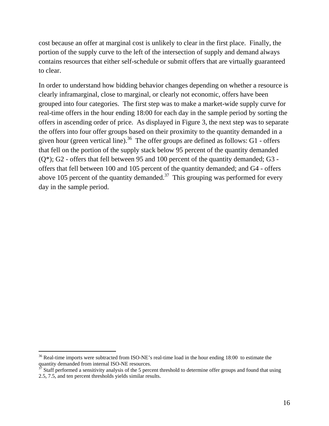cost because an offer at marginal cost is unlikely to clear in the first place. Finally, the portion of the supply curve to the left of the intersection of supply and demand always contains resources that either self-schedule or submit offers that are virtually guaranteed to clear.

In order to understand how bidding behavior changes depending on whether a resource is clearly inframarginal, close to marginal, or clearly not economic, offers have been grouped into four categories. The first step was to make a market-wide supply curve for real-time offers in the hour ending 18:00 for each day in the sample period by sorting the offers in ascending order of price. As displayed in Figure 3, the next step was to separate the offers into four offer groups based on their proximity to the quantity demanded in a given hour (green vertical line).<sup>36</sup> The offer groups are defined as follows: G1 - offers that fell on the portion of the supply stack below 95 percent of the quantity demanded  $(Q^*)$ ; G2 - offers that fell between 95 and 100 percent of the quantity demanded; G3 offers that fell between 100 and 105 percent of the quantity demanded; and G4 - offers above 105 percent of the quantity demanded.<sup>37</sup> This grouping was performed for every day in the sample period.

<sup>&</sup>lt;sup>36</sup> Real-time imports were subtracted from ISO-NE's real-time load in the hour ending 18:00 to estimate the quantity demanded from internal ISO-NE resources.

Staff performed a sensitivity analysis of the 5 percent threshold to determine offer groups and found that using 2.5, 7.5, and ten percent thresholds yields similar results.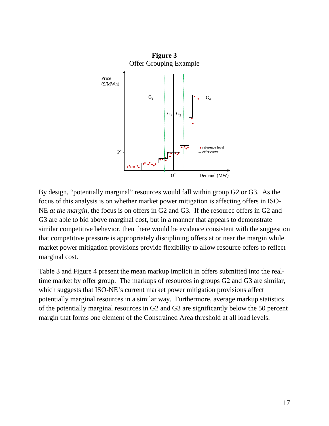

By design, "potentially marginal" resources would fall within group G2 or G3. As the focus of this analysis is on whether market power mitigation is affecting offers in ISO-NE *at the margin*, the focus is on offers in G2 and G3. If the resource offers in G2 and G3 are able to bid above marginal cost, but in a manner that appears to demonstrate similar competitive behavior, then there would be evidence consistent with the suggestion that competitive pressure is appropriately disciplining offers at or near the margin while market power mitigation provisions provide flexibility to allow resource offers to reflect marginal cost.

Table 3 and Figure 4 present the mean markup implicit in offers submitted into the realtime market by offer group. The markups of resources in groups G2 and G3 are similar, which suggests that ISO-NE's current market power mitigation provisions affect potentially marginal resources in a similar way. Furthermore, average markup statistics of the potentially marginal resources in G2 and G3 are significantly below the 50 percent margin that forms one element of the Constrained Area threshold at all load levels.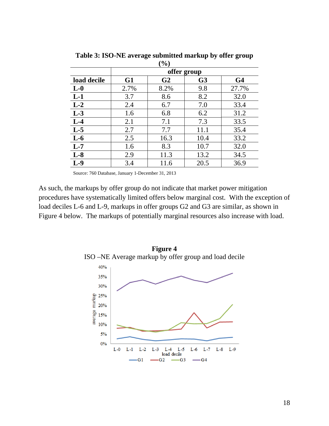|             |             | 70 J           |                |                |  |  |  |  |
|-------------|-------------|----------------|----------------|----------------|--|--|--|--|
|             | offer group |                |                |                |  |  |  |  |
| load decile | G1          | G <sub>2</sub> | G <sub>3</sub> | G <sub>4</sub> |  |  |  |  |
| $L-0$       | 2.7%        | 8.2%           | 9.8            | 27.7%          |  |  |  |  |
| $L-1$       | 3.7         | 8.6            | 8.2            | 32.0           |  |  |  |  |
| $L-2$       | 2.4         | 6.7            | 7.0            | 33.4           |  |  |  |  |
| $L-3$       | 1.6         | 6.8            | 6.2            | 31.2           |  |  |  |  |
| $L-4$       | 2.1         | 7.1            | 7.3            | 33.5           |  |  |  |  |
| $L-5$       | 2.7         | 7.7            | 11.1           | 35.4           |  |  |  |  |
| $L-6$       | 2.5         | 16.3           | 10.4           | 33.2           |  |  |  |  |
| $L-7$       | 1.6         | 8.3            | 10.7           | 32.0           |  |  |  |  |
| $L-8$       | 2.9         | 11.3           | 13.2           | 34.5           |  |  |  |  |
| $L-9$       | 3.4         | 11.6           | 20.5           | 36.9           |  |  |  |  |

**Table 3: ISO-NE average submitted markup by offer group**   $(0/6)$ 

Source: 760 Database, January 1-December 31, 2013

As such, the markups by offer group do not indicate that market power mitigation procedures have systematically limited offers below marginal cost. With the exception of load deciles L-6 and L-9, markups in offer groups G2 and G3 are similar, as shown in Figure 4 below. The markups of potentially marginal resources also increase with load.

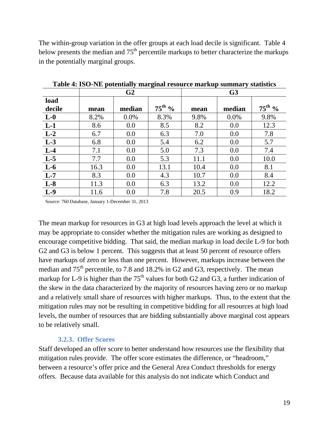The within-group variation in the offer groups at each load decile is significant. Table 4 below presents the median and  $75<sup>th</sup>$  percentile markups to better characterize the markups in the potentially marginal groups.

|                  |      | G <sub>2</sub> |                    | G <sub>3</sub> |        |                 |  |
|------------------|------|----------------|--------------------|----------------|--------|-----------------|--|
| load<br>decile   | mean | median         | $75^{\text{th}}$ % | mean           | median | $75^{\rm th}$ % |  |
| $L-0$            | 8.2% | 0.0%           | 8.3%               | 9.8%           | 0.0%   | 9.8%            |  |
| $L-1$            | 8.6  | 0.0            | 8.5                | 8.2            | 0.0    | 12.3            |  |
| $\overline{L-2}$ | 6.7  | 0.0            | 6.3                | 7.0            | 0.0    | 7.8             |  |
| $L-3$            | 6.8  | 0.0            | 5.4                | 6.2            | 0.0    | 5.7             |  |
| $L-4$            | 7.1  | 0.0            | 5.0                | 7.3            | 0.0    | 7.4             |  |
| $\overline{L-5}$ | 7.7  | 0.0            | 5.3                | 11.1           | 0.0    | 10.0            |  |
| $L-6$            | 16.3 | 0.0            | 13.1               | 10.4           | 0.0    | 8.1             |  |
| $L-7$            | 8.3  | 0.0            | 4.3                | 10.7           | 0.0    | 8.4             |  |
| $L-8$            | 11.3 | 0.0            | 6.3                | 13.2           | 0.0    | 12.2            |  |
| $L-9$            | 11.6 | 0.0            | 7.8                | 20.5           | 0.9    | 18.2            |  |

**Table 4: ISO-NE potentially marginal resource markup summary statistics** 

Source: 760 Database, January 1-December 31, 2013

The mean markup for resources in G3 at high load levels approach the level at which it may be appropriate to consider whether the mitigation rules are working as designed to encourage competitive bidding. That said, the median markup in load decile L-9 for both G2 and G3 is below 1 percent. This suggests that at least 50 percent of resource offers have markups of zero or less than one percent. However, markups increase between the median and  $75<sup>th</sup>$  percentile, to 7.8 and 18.2% in G2 and G3, respectively. The mean markup for L-9 is higher than the  $75<sup>th</sup>$  values for both G2 and G3, a further indication of the skew in the data characterized by the majority of resources having zero or no markup and a relatively small share of resources with higher markups. Thus, to the extent that the mitigation rules may not be resulting in competitive bidding for all resources at high load levels, the number of resources that are bidding substantially above marginal cost appears to be relatively small.

#### **3.2.3. Offer Scores**

Staff developed an offer score to better understand how resources use the flexibility that mitigation rules provide. The offer score estimates the difference, or "headroom," between a resource's offer price and the General Area Conduct thresholds for energy offers. Because data available for this analysis do not indicate which Conduct and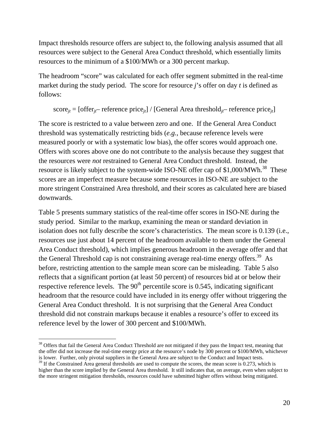Impact thresholds resource offers are subject to, the following analysis assumed that all resources were subject to the General Area Conduct threshold, which essentially limits resources to the minimum of a \$100/MWh or a 300 percent markup.

The headroom "score" was calculated for each offer segment submitted in the real-time market during the study period. The score for resource *j*'s offer on day *t* is defined as follows:

score<sub>*it*</sub> = [offer<sub>*it*</sub>– reference price<sub>*it*</sub>] / [General Area threshold<sub>*it*</sub>– reference price<sub>*it*</sub>]

The score is restricted to a value between zero and one. If the General Area Conduct threshold was systematically restricting bids (*e.g.*, because reference levels were measured poorly or with a systematic low bias), the offer scores would approach one. Offers with scores above one do not contribute to the analysis because they suggest that the resources were *not* restrained to General Area Conduct threshold. Instead, the resource is likely subject to the system-wide ISO-NE offer cap of \$1,000/MWh.<sup>38</sup> These scores are an imperfect measure because some resources in ISO-NE are subject to the more stringent Constrained Area threshold, and their scores as calculated here are biased downwards.

Table 5 presents summary statistics of the real-time offer scores in ISO-NE during the study period. Similar to the markup, examining the mean or standard deviation in isolation does not fully describe the score's characteristics. The mean score is 0.139 (i.e., resources use just about 14 percent of the headroom available to them under the General Area Conduct threshold), which implies generous headroom in the average offer and that the General Threshold cap is not constraining average real-time energy offers.<sup>39</sup> As before, restricting attention to the sample mean score can be misleading. Table 5 also reflects that a significant portion (at least 50 percent) of resources bid at or below their respective reference levels. The  $90<sup>th</sup>$  percentile score is 0.545, indicating significant headroom that the resource could have included in its energy offer without triggering the General Area Conduct threshold. It is not surprising that the General Area Conduct threshold did not constrain markups because it enables a resource's offer to exceed its reference level by the lower of 300 percent and \$100/MWh.

<sup>&</sup>lt;sup>38</sup> Offers that fail the General Area Conduct Threshold are not mitigated if they pass the Impact test, meaning that the offer did not increase the real-time energy price at the resource's node by 300 percent or \$100/MWh, whichever is lower. Further, only pivotal suppliers in the General Area are subject to the Conduct and Impact tests.

 $39$  If the Constrained Area general thresholds are used to compute the scores, the mean score is 0.273, which is higher than the score implied by the General Area threshold. It still indicates that, on average, even when subject to the more stringent mitigation thresholds, resources could have submitted higher offers without being mitigated.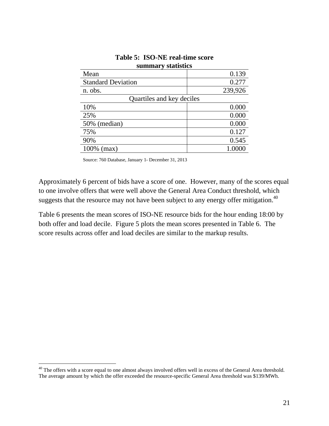| Summal y statistics       |         |  |  |  |  |  |  |
|---------------------------|---------|--|--|--|--|--|--|
| Mean                      | 0.139   |  |  |  |  |  |  |
| <b>Standard Deviation</b> | 0.277   |  |  |  |  |  |  |
| n. obs.                   | 239,926 |  |  |  |  |  |  |
| Quartiles and key deciles |         |  |  |  |  |  |  |
| 10%                       | 0.000   |  |  |  |  |  |  |
| 25%                       | 0.000   |  |  |  |  |  |  |
| 50% (median)              | 0.000   |  |  |  |  |  |  |
| 75%                       | 0.127   |  |  |  |  |  |  |
| 90%                       | 0.545   |  |  |  |  |  |  |
| 100% (max)                | 1.0000  |  |  |  |  |  |  |

#### **Table 5: ISO-NE real-time score summary statistics**

Source: 760 Database, January 1- December 31, 2013

Approximately 6 percent of bids have a score of one. However, many of the scores equal to one involve offers that were well above the General Area Conduct threshold, which suggests that the resource may not have been subject to any energy offer mitigation.<sup>40</sup>

Table 6 presents the mean scores of ISO-NE resource bids for the hour ending 18:00 by both offer and load decile. Figure 5 plots the mean scores presented in Table 6. The score results across offer and load deciles are similar to the markup results.

<sup>&</sup>lt;sup>40</sup> The offers with a score equal to one almost always involved offers well in excess of the General Area threshold. The average amount by which the offer exceeded the resource-specific General Area threshold was \$139/MWh.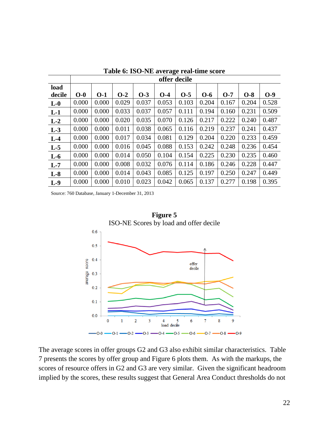|        |       | offer decile |       |       |       |       |       |       |       |       |
|--------|-------|--------------|-------|-------|-------|-------|-------|-------|-------|-------|
| load   |       |              |       |       |       |       |       |       |       |       |
| decile | $O-0$ | $O-1$        | $O-2$ | $O-3$ | $O-4$ | $O-5$ | $O-6$ | $O-7$ | $O-8$ | $O-9$ |
| $L-0$  | 0.000 | 0.000        | 0.029 | 0.037 | 0.053 | 0.103 | 0.204 | 0.167 | 0.204 | 0.528 |
| $L-1$  | 0.000 | 0.000        | 0.033 | 0.037 | 0.057 | 0.111 | 0.194 | 0.160 | 0.231 | 0.509 |
| $L-2$  | 0.000 | 0.000        | 0.020 | 0.035 | 0.070 | 0.126 | 0.217 | 0.222 | 0.240 | 0.487 |
| $L-3$  | 0.000 | 0.000        | 0.011 | 0.038 | 0.065 | 0.116 | 0.219 | 0.237 | 0.241 | 0.437 |
| $L-4$  | 0.000 | 0.000        | 0.017 | 0.034 | 0.081 | 0.129 | 0.204 | 0.220 | 0.233 | 0.459 |
| $L-5$  | 0.000 | 0.000        | 0.016 | 0.045 | 0.088 | 0.153 | 0.242 | 0.248 | 0.236 | 0.454 |
| $L-6$  | 0.000 | 0.000        | 0.014 | 0.050 | 0.104 | 0.154 | 0.225 | 0.230 | 0.235 | 0.460 |
| $L-7$  | 0.000 | 0.000        | 0.008 | 0.032 | 0.076 | 0.114 | 0.186 | 0.246 | 0.228 | 0.447 |
| $L-8$  | 0.000 | 0.000        | 0.014 | 0.043 | 0.085 | 0.125 | 0.197 | 0.250 | 0.247 | 0.449 |
| $L-9$  | 0.000 | 0.000        | 0.010 | 0.023 | 0.042 | 0.065 | 0.137 | 0.277 | 0.198 | 0.395 |

**Table 6: ISO-NE average real-time score** 

Source: 760 Database, January 1-December 31, 2013



The average scores in offer groups G2 and G3 also exhibit similar characteristics. Table 7 presents the scores by offer group and Figure 6 plots them. As with the markups, the scores of resource offers in G2 and G3 are very similar. Given the significant headroom implied by the scores, these results suggest that General Area Conduct thresholds do not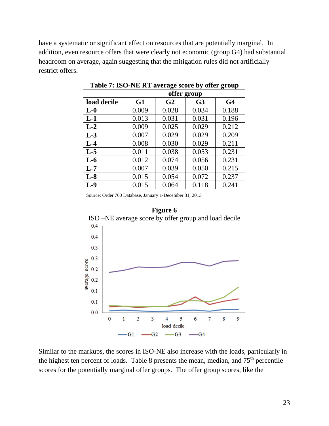have a systematic or significant effect on resources that are potentially marginal. In addition, even resource offers that were clearly not economic (group G4) had substantial headroom on average, again suggesting that the mitigation rules did not artificially restrict offers.

|             | offer group |                |                |                |  |  |  |  |
|-------------|-------------|----------------|----------------|----------------|--|--|--|--|
| load decile | G1          | G <sub>2</sub> | G <sub>3</sub> | G <sub>4</sub> |  |  |  |  |
| $L-0$       | 0.009       | 0.028          | 0.034          | 0.188          |  |  |  |  |
| $L-1$       | 0.013       | 0.031          | 0.031          | 0.196          |  |  |  |  |
| $L-2$       | 0.009       | 0.025          | 0.029          | 0.212          |  |  |  |  |
| $L-3$       | 0.007       | 0.029          | 0.029          | 0.209          |  |  |  |  |
| $L-4$       | 0.008       | 0.030          | 0.029          | 0.211          |  |  |  |  |
| $L-5$       | 0.011       | 0.038          | 0.053          | 0.231          |  |  |  |  |
| $L-6$       | 0.012       | 0.074          | 0.056          | 0.231          |  |  |  |  |
| $L-7$       | 0.007       | 0.039          | 0.050          | 0.215          |  |  |  |  |
| $L-8$       | 0.015       | 0.054          | 0.072          | 0.237          |  |  |  |  |
| $L-9$       | 0.015       | 0.064          | 0.118          | 0.241          |  |  |  |  |

**Table 7: ISO-NE RT average score by offer group**

Source: Order 760 Database, January 1-December 31, 2013



Similar to the markups, the scores in ISO-NE also increase with the loads, particularly in the highest ten percent of loads. Table 8 presents the mean, median, and  $75<sup>th</sup>$  percentile scores for the potentially marginal offer groups. The offer group scores, like the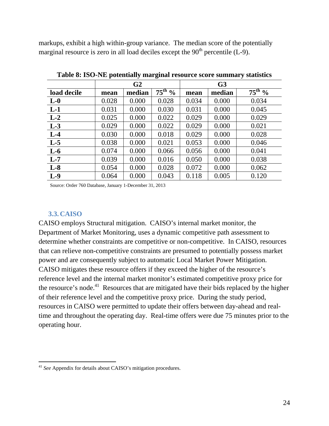markups, exhibit a high within-group variance. The median score of the potentially marginal resource is zero in all load deciles except the  $90<sup>th</sup>$  percentile (L-9).

|             |       | G <sub>2</sub> |                    | G <sub>3</sub> |        |             |  |
|-------------|-------|----------------|--------------------|----------------|--------|-------------|--|
| load decile | mean  | median         | $75^{\text{th}}$ % | mean           | median | $75^{th}$ % |  |
| $L-0$       | 0.028 | 0.000          | 0.028              | 0.034          | 0.000  | 0.034       |  |
| $L-1$       | 0.031 | 0.000          | 0.030              | 0.031          | 0.000  | 0.045       |  |
| $L-2$       | 0.025 | 0.000          | 0.022              | 0.029          | 0.000  | 0.029       |  |
| $L-3$       | 0.029 | 0.000          | 0.022              | 0.029          | 0.000  | 0.021       |  |
| $L-4$       | 0.030 | 0.000          | 0.018              | 0.029          | 0.000  | 0.028       |  |
| $L-5$       | 0.038 | 0.000          | 0.021              | 0.053          | 0.000  | 0.046       |  |
| $L-6$       | 0.074 | 0.000          | 0.066              | 0.056          | 0.000  | 0.041       |  |
| $L-7$       | 0.039 | 0.000          | 0.016              | 0.050          | 0.000  | 0.038       |  |
| $L-8$       | 0.054 | 0.000          | 0.028              | 0.072          | 0.000  | 0.062       |  |
| $L-9$       | 0.064 | 0.000          | 0.043              | 0.118          | 0.005  | 0.120       |  |

**Table 8: ISO-NE potentially marginal resource score summary statistics**

Source: Order 760 Database, January 1-December 31, 2013

#### **3.3. CAISO**

 $\overline{a}$ 

CAISO employs Structural mitigation. CAISO's internal market monitor, the Department of Market Monitoring, uses a dynamic competitive path assessment to determine whether constraints are competitive or non-competitive. In CAISO, resources that can relieve non-competitive constraints are presumed to potentially possess market power and are consequently subject to automatic Local Market Power Mitigation. CAISO mitigates these resource offers if they exceed the higher of the resource's reference level and the internal market monitor's estimated competitive proxy price for the resource's node.<sup>41</sup> Resources that are mitigated have their bids replaced by the higher of their reference level and the competitive proxy price. During the study period, resources in CAISO were permitted to update their offers between day-ahead and realtime and throughout the operating day. Real-time offers were due 75 minutes prior to the operating hour.

<sup>41</sup> *See* Appendix for details about CAISO's mitigation procedures.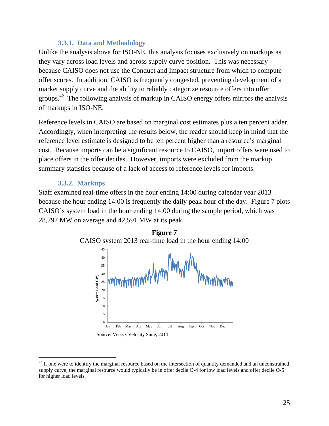#### **3.3.1. Data and Methodology**

Unlike the analysis above for ISO-NE, this analysis focuses exclusively on markups as they vary across load levels and across supply curve position. This was necessary because CAISO does not use the Conduct and Impact structure from which to compute offer scores. In addition, CAISO is frequently congested, preventing development of a market supply curve and the ability to reliably categorize resource offers into offer groups.<sup>42</sup> The following analysis of markup in CAISO energy offers mirrors the analysis of markups in ISO-NE.

Reference levels in CAISO are based on marginal cost estimates plus a ten percent adder. Accordingly, when interpreting the results below, the reader should keep in mind that the reference level estimate is designed to be ten percent higher than a resource's marginal cost. Because imports can be a significant resource to CAISO, import offers were used to place offers in the offer deciles. However, imports were excluded from the markup summary statistics because of a lack of access to reference levels for imports.

#### **3.3.2. Markups**

Staff examined real-time offers in the hour ending 14:00 during calendar year 2013 because the hour ending 14:00 is frequently the daily peak hour of the day. Figure 7 plots CAISO's system load in the hour ending 14:00 during the sample period, which was 28,797 MW on average and 42,591 MW at its peak.



 $42$  If one were to identify the marginal resource based on the intersection of quantity demanded and an unconstrained supply curve, the marginal resource would typically be in offer decile O-4 for low load levels and offer decile O-5 for higher load levels.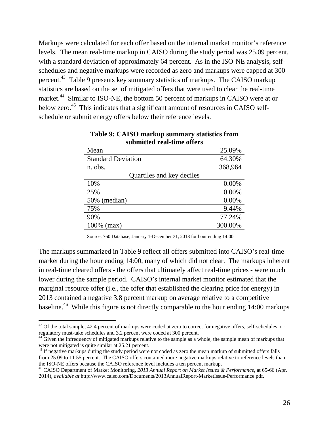Markups were calculated for each offer based on the internal market monitor's reference levels. The mean real-time markup in CAISO during the study period was 25.09 percent, with a standard deviation of approximately 64 percent. As in the ISO-NE analysis, selfschedules and negative markups were recorded as zero and markups were capped at 300 percent.<sup>43</sup> Table 9 presents key summary statistics of markups. The CAISO markup statistics are based on the set of mitigated offers that were used to clear the real-time market.<sup>44</sup> Similar to ISO-NE, the bottom 50 percent of markups in CAISO were at or below zero.<sup>45</sup> This indicates that a significant amount of resources in CAISO selfschedule or submit energy offers below their reference levels.

| submitted real-time offers |         |  |  |  |  |  |  |  |
|----------------------------|---------|--|--|--|--|--|--|--|
| Mean                       | 25.09%  |  |  |  |  |  |  |  |
| <b>Standard Deviation</b>  | 64.30%  |  |  |  |  |  |  |  |
| n. obs.                    | 368,964 |  |  |  |  |  |  |  |
| Quartiles and key deciles  |         |  |  |  |  |  |  |  |
| 10%                        | 0.00%   |  |  |  |  |  |  |  |
| 25%                        | 0.00%   |  |  |  |  |  |  |  |
| 50% (median)               | 0.00%   |  |  |  |  |  |  |  |
| 75%                        | 9.44%   |  |  |  |  |  |  |  |
| 90%                        | 77.24%  |  |  |  |  |  |  |  |
| 100% (max)                 | 300.00% |  |  |  |  |  |  |  |

#### **Table 9: CAISO markup summary statistics from submitted real-time offers**

Source: 760 Database, January 1-December 31, 2013 for hour ending 14:00.

The markups summarized in Table 9 reflect all offers submitted into CAISO's real-time market during the hour ending 14:00, many of which did not clear. The markups inherent in real-time cleared offers - the offers that ultimately affect real-time prices - were much lower during the sample period. CAISO's internal market monitor estimated that the marginal resource offer (i.e., the offer that established the clearing price for energy) in 2013 contained a negative 3.8 percent markup on average relative to a competitive baseline.<sup>46</sup> While this figure is not directly comparable to the hour ending 14:00 markups

 $43$  Of the total sample, 42.4 percent of markups were coded at zero to correct for negative offers, self-schedules, or regulatory must-take schedules and 3.2 percent were coded at 300 percent.

<sup>&</sup>lt;sup>44</sup> Given the infrequency of mitigated markups relative to the sample as a whole, the sample mean of markups that were not mitigated is quite similar at 25.21 percent.

<sup>&</sup>lt;sup>45</sup> If negative markups during the study period were not coded as zero the mean markup of submitted offers falls from 25.09 to 11.55 percent. The CAISO offers contained more negative markups relative to reference levels than the ISO-NE offers because the CAISO reference level includes a ten percent markup.<br><sup>46</sup> CAISO Department of Market Monitoring, *2013 Annual Report on Market Issues & Performance*, at 65-66 (Apr.

<sup>2014),</sup> *available at* http://www.caiso.com/Documents/2013AnnualReport-MarketIssue-Performance.pdf.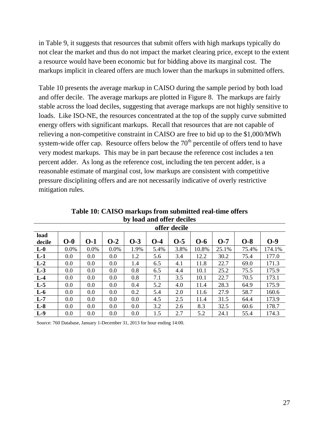in Table 9, it suggests that resources that submit offers with high markups typically do not clear the market and thus do not impact the market clearing price, except to the extent a resource would have been economic but for bidding above its marginal cost. The markups implicit in cleared offers are much lower than the markups in submitted offers.

Table 10 presents the average markup in CAISO during the sample period by both load and offer decile. The average markups are plotted in Figure 8. The markups are fairly stable across the load deciles, suggesting that average markups are not highly sensitive to loads. Like ISO-NE, the resources concentrated at the top of the supply curve submitted energy offers with significant markups. Recall that resources that are not capable of relieving a non-competitive constraint in CAISO are free to bid up to the \$1,000/MWh system-wide offer cap. Resource offers below the  $70<sup>th</sup>$  percentile of offers tend to have very modest markups. This may be in part because the reference cost includes a ten percent adder. As long as the reference cost, including the ten percent adder, is a reasonable estimate of marginal cost, low markups are consistent with competitive pressure disciplining offers and are not necessarily indicative of overly restrictive mitigation rules.

| ◡<br>offer decile |       |         |         |       |       |       |       |       |       |        |
|-------------------|-------|---------|---------|-------|-------|-------|-------|-------|-------|--------|
| load<br>decile    | $O-0$ | $0 - 1$ | $O-2$   | $O-3$ | $O-4$ | $O-5$ | $O-6$ | $O-7$ | $O-8$ | $O-9$  |
| $L-0$             | 0.0%  | 0.0%    | 0.0%    | 1.9%  | 5.4%  | 3.8%  | 10.8% | 25.1% | 75.4% | 174.1% |
| $L-1$             | 0.0   | 0.0     | 0.0     | 1.2   | 5.6   | 3.4   | 12.2  | 30.2  | 75.4  | 177.0  |
| $L-2$             | 0.0   | 0.0     | 0.0     | 1.4   | 6.5   | 4.1   | 11.8  | 22.7  | 69.0  | 171.3  |
| $L-3$             | 0.0   | 0.0     | 0.0     | 0.8   | 6.5   | 4.4   | 10.1  | 25.2  | 75.5  | 175.9  |
| $L-4$             | 0.0   | 0.0     | 0.0     | 0.8   | 7.1   | 3.5   | 10.1  | 22.7  | 70.5  | 173.1  |
| $L-5$             | 0.0   | 0.0     | $0.0\,$ | 0.4   | 5.2   | 4.0   | 11.4  | 28.3  | 64.9  | 175.9  |
| $L-6$             | 0.0   | 0.0     | 0.0     | 0.2   | 5.4   | 2.0   | 11.6  | 27.9  | 58.7  | 160.6  |
| $L-7$             | 0.0   | 0.0     | 0.0     | 0.0   | 4.5   | 2.5   | 11.4  | 31.5  | 64.4  | 173.9  |
| $L-8$             | 0.0   | 0.0     | 0.0     | 0.0   | 3.2   | 2.6   | 8.3   | 32.5  | 60.6  | 178.7  |
| $L-9$             | 0.0   | 0.0     | 0.0     | 0.0   | 1.5   | 2.7   | 5.2   | 24.1  | 55.4  | 174.3  |

**Table 10: CAISO markups from submitted real-time offers by load and offer deciles** 

Source: 760 Database, January 1-December 31, 2013 for hour ending 14:00.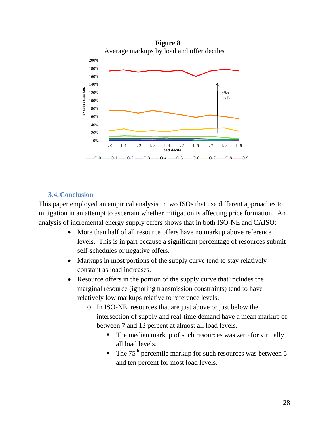

#### **3.4. Conclusion**

This paper employed an empirical analysis in two ISOs that use different approaches to mitigation in an attempt to ascertain whether mitigation is affecting price formation. An analysis of incremental energy supply offers shows that in both ISO-NE and CAISO:

- More than half of all resource offers have no markup above reference levels. This is in part because a significant percentage of resources submit self-schedules or negative offers.
- Markups in most portions of the supply curve tend to stay relatively constant as load increases.
- Resource offers in the portion of the supply curve that includes the marginal resource (ignoring transmission constraints) tend to have relatively low markups relative to reference levels.
	- o In ISO-NE, resources that are just above or just below the intersection of supply and real-time demand have a mean markup of between 7 and 13 percent at almost all load levels.
		- The median markup of such resources was zero for virtually all load levels.
		- The  $75<sup>th</sup>$  percentile markup for such resources was between 5 and ten percent for most load levels.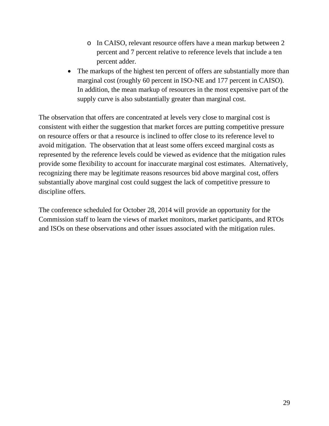- o In CAISO, relevant resource offers have a mean markup between 2 percent and 7 percent relative to reference levels that include a ten percent adder.
- The markups of the highest ten percent of offers are substantially more than marginal cost (roughly 60 percent in ISO-NE and 177 percent in CAISO). In addition, the mean markup of resources in the most expensive part of the supply curve is also substantially greater than marginal cost.

The observation that offers are concentrated at levels very close to marginal cost is consistent with either the suggestion that market forces are putting competitive pressure on resource offers or that a resource is inclined to offer close to its reference level to avoid mitigation. The observation that at least some offers exceed marginal costs as represented by the reference levels could be viewed as evidence that the mitigation rules provide some flexibility to account for inaccurate marginal cost estimates. Alternatively, recognizing there may be legitimate reasons resources bid above marginal cost, offers substantially above marginal cost could suggest the lack of competitive pressure to discipline offers.

The conference scheduled for October 28, 2014 will provide an opportunity for the Commission staff to learn the views of market monitors, market participants, and RTOs and ISOs on these observations and other issues associated with the mitigation rules.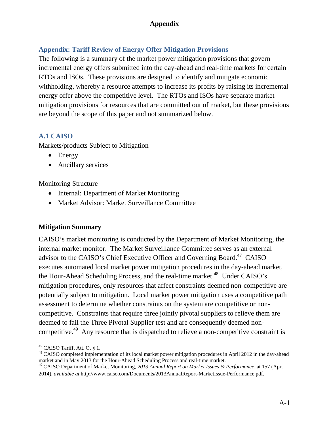# **Appendix: Tariff Review of Energy Offer Mitigation Provisions**

The following is a summary of the market power mitigation provisions that govern incremental energy offers submitted into the day-ahead and real-time markets for certain RTOs and ISOs. These provisions are designed to identify and mitigate economic withholding, whereby a resource attempts to increase its profits by raising its incremental energy offer above the competitive level. The RTOs and ISOs have separate market mitigation provisions for resources that are committed out of market, but these provisions are beyond the scope of this paper and not summarized below.

#### **A.1 CAISO**

Markets/products Subject to Mitigation

- Energy
- Ancillary services

#### Monitoring Structure

- Internal: Department of Market Monitoring
- Market Advisor: Market Surveillance Committee

#### **Mitigation Summary**

CAISO's market monitoring is conducted by the Department of Market Monitoring, the internal market monitor. The Market Surveillance Committee serves as an external advisor to the CAISO's Chief Executive Officer and Governing Board.<sup>47</sup> CAISO executes automated local market power mitigation procedures in the day-ahead market, the Hour-Ahead Scheduling Process, and the real-time market.<sup>48</sup> Under CAISO's mitigation procedures, only resources that affect constraints deemed non-competitive are potentially subject to mitigation. Local market power mitigation uses a competitive path assessment to determine whether constraints on the system are competitive or noncompetitive. Constraints that require three jointly pivotal suppliers to relieve them are deemed to fail the Three Pivotal Supplier test and are consequently deemed noncompetitive.<sup>49</sup> Any resource that is dispatched to relieve a non-competitive constraint is

 $\overline{a}$  $47$  CAISO Tariff, Att. O, § 1.

<sup>&</sup>lt;sup>48</sup> CAISO completed implementation of its local market power mitigation procedures in April 2012 in the day-ahead market and in May 2013 for the Hour-Ahead Scheduling Process and real-time market.

<sup>49</sup> CAISO Department of Market Monitoring, *2013 Annual Report on Market Issues & Performance*, at 157 (Apr. 2014), *available at* http://www.caiso.com/Documents/2013AnnualReport-MarketIssue-Performance.pdf.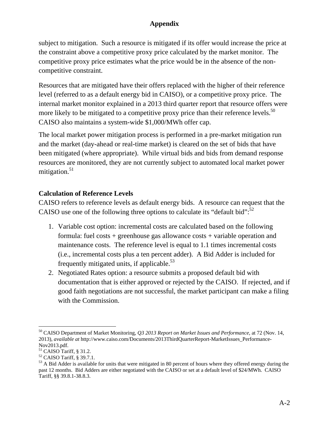subject to mitigation. Such a resource is mitigated if its offer would increase the price at the constraint above a competitive proxy price calculated by the market monitor. The competitive proxy price estimates what the price would be in the absence of the noncompetitive constraint.

Resources that are mitigated have their offers replaced with the higher of their reference level (referred to as a default energy bid in CAISO), or a competitive proxy price. The internal market monitor explained in a 2013 third quarter report that resource offers were more likely to be mitigated to a competitive proxy price than their reference levels.<sup>50</sup> CAISO also maintains a system-wide \$1,000/MWh offer cap.

The local market power mitigation process is performed in a pre-market mitigation run and the market (day-ahead or real-time market) is cleared on the set of bids that have been mitigated (where appropriate). While virtual bids and bids from demand response resources are monitored, they are not currently subject to automated local market power mitigation. $51$ 

# **Calculation of Reference Levels**

CAISO refers to reference levels as default energy bids. A resource can request that the CAISO use one of the following three options to calculate its "default bid":<sup>52</sup>

- 1. Variable cost option: incremental costs are calculated based on the following formula: fuel costs + greenhouse gas allowance costs + variable operation and maintenance costs. The reference level is equal to 1.1 times incremental costs (i.e., incremental costs plus a ten percent adder). A Bid Adder is included for frequently mitigated units, if applicable. $53$
- 2. Negotiated Rates option: a resource submits a proposed default bid with documentation that is either approved or rejected by the CAISO. If rejected, and if good faith negotiations are not successful, the market participant can make a filing with the Commission.

 $\overline{a}$ 50 CAISO Department of Market Monitoring, *Q3 2013 Report on Market Issues and Performance*, at 72 (Nov. 14, 2013), *available at* http://www.caiso.com/Documents/2013ThirdQuarterReport-MarketIssues\_Performance-Nov2013.pdf.

 $51$  CAISO Tariff, § 31.2.

<sup>52</sup> CAISO Tariff, § 39.7.1.

 $<sup>53</sup>$  A Bid Adder is available for units that were mitigated in 80 percent of hours where they offered energy during the</sup> past 12 months. Bid Adders are either negotiated with the CAISO or set at a default level of \$24/MWh. CAISO Tariff, §§ 39.8.1-38.8.3.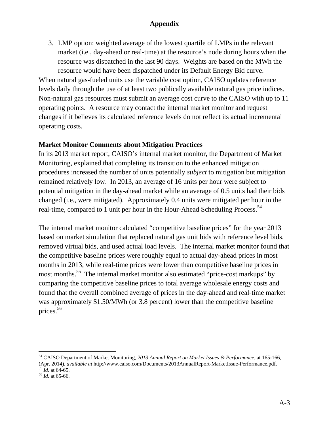3. LMP option: weighted average of the lowest quartile of LMPs in the relevant market (i.e., day-ahead or real-time) at the resource's node during hours when the resource was dispatched in the last 90 days. Weights are based on the MWh the resource would have been dispatched under its Default Energy Bid curve.

When natural gas-fueled units use the variable cost option, CAISO updates reference levels daily through the use of at least two publically available natural gas price indices. Non-natural gas resources must submit an average cost curve to the CAISO with up to 11 operating points. A resource may contact the internal market monitor and request changes if it believes its calculated reference levels do not reflect its actual incremental operating costs.

#### **Market Monitor Comments about Mitigation Practices**

In its 2013 market report, CAISO's internal market monitor, the Department of Market Monitoring, explained that completing its transition to the enhanced mitigation procedures increased the number of units potentially *subject* to mitigation but mitigation remained relatively low. In 2013, an average of 16 units per hour were subject to potential mitigation in the day-ahead market while an average of 0.5 units had their bids changed (i.e., were mitigated). Approximately 0.4 units were mitigated per hour in the real-time, compared to 1 unit per hour in the Hour-Ahead Scheduling Process.<sup>54</sup>

The internal market monitor calculated "competitive baseline prices" for the year 2013 based on market simulation that replaced natural gas unit bids with reference level bids, removed virtual bids, and used actual load levels. The internal market monitor found that the competitive baseline prices were roughly equal to actual day-ahead prices in most months in 2013, while real-time prices were lower than competitive baseline prices in most months.<sup>55</sup> The internal market monitor also estimated "price-cost markups" by comparing the competitive baseline prices to total average wholesale energy costs and found that the overall combined average of prices in the day-ahead and real-time market was approximately \$1.50/MWh (or 3.8 percent) lower than the competitive baseline prices. $\bar{56}$ 

<sup>54</sup> CAISO Department of Market Monitoring, *2013 Annual Report on Market Issues & Performance*, at 165-166, (Apr. 2014), *available at* http://www.caiso.com/Documents/2013AnnualReport-MarketIssue-Performance.pdf.<br><sup>55</sup> *Id.* at 64-65. *Id.* at 65-66.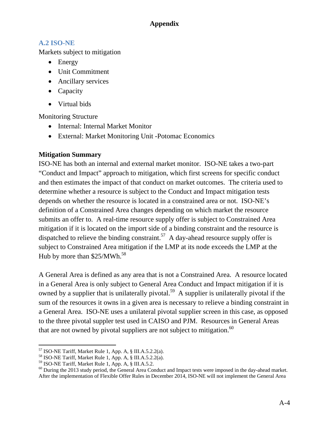## **A.2 ISO-NE**

Markets subject to mitigation

- Energy
- Unit Commitment
- Ancillary services
- Capacity
- Virtual bids

Monitoring Structure

- Internal: Internal Market Monitor
- External: Market Monitoring Unit -Potomac Economics

# **Mitigation Summary**

ISO-NE has both an internal and external market monitor. ISO-NE takes a two-part "Conduct and Impact" approach to mitigation, which first screens for specific conduct and then estimates the impact of that conduct on market outcomes. The criteria used to determine whether a resource is subject to the Conduct and Impact mitigation tests depends on whether the resource is located in a constrained area or not. ISO-NE's definition of a Constrained Area changes depending on which market the resource submits an offer to. A real-time resource supply offer is subject to Constrained Area mitigation if it is located on the import side of a binding constraint and the resource is dispatched to relieve the binding constraint.<sup>57</sup> A day-ahead resource supply offer is subject to Constrained Area mitigation if the LMP at its node exceeds the LMP at the Hub by more than  $$25/MWh.<sup>58</sup>$ 

A General Area is defined as any area that is not a Constrained Area. A resource located in a General Area is only subject to General Area Conduct and Impact mitigation if it is owned by a supplier that is unilaterally pivotal.<sup>59</sup> A supplier is unilaterally pivotal if the sum of the resources it owns in a given area is necessary to relieve a binding constraint in a General Area. ISO-NE uses a unilateral pivotal supplier screen in this case, as opposed to the three pivotal suppler test used in CAISO and PJM. Resources in General Areas that are not owned by pivotal suppliers are not subject to mitigation. $60$ 

 $\overline{a}$  $57$  ISO-NE Tariff, Market Rule 1, App. A, § III.A.5.2.2(a).

<sup>58</sup> ISO-NE Tariff, Market Rule 1, App. A, § III.A.5.2.2(a).

<sup>59</sup> ISO-NE Tariff, Market Rule 1, App. A, § III.A.5.2.

<sup>&</sup>lt;sup>60</sup> During the 2013 study period, the General Area Conduct and Impact tests were imposed in the day-ahead market. After the implementation of Flexible Offer Rules in December 2014, ISO-NE will not implement the General Area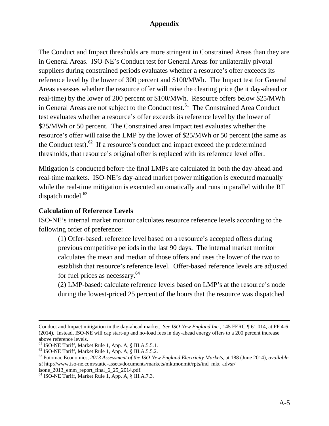The Conduct and Impact thresholds are more stringent in Constrained Areas than they are in General Areas. ISO-NE's Conduct test for General Areas for unilaterally pivotal suppliers during constrained periods evaluates whether a resource's offer exceeds its reference level by the lower of 300 percent and \$100/MWh. The Impact test for General Areas assesses whether the resource offer will raise the clearing price (be it day-ahead or real-time) by the lower of 200 percent or \$100/MWh. Resource offers below \$25/MWh in General Areas are not subject to the Conduct test.<sup>61</sup> The Constrained Area Conduct test evaluates whether a resource's offer exceeds its reference level by the lower of \$25/MWh or 50 percent. The Constrained area Impact test evaluates whether the resource's offer will raise the LMP by the lower of \$25/MWh or 50 percent (the same as the Conduct test). $62$  If a resource's conduct and impact exceed the predetermined thresholds, that resource's original offer is replaced with its reference level offer.

Mitigation is conducted before the final LMPs are calculated in both the day-ahead and real-time markets. ISO-NE's day-ahead market power mitigation is executed manually while the real-time mitigation is executed automatically and runs in parallel with the RT dispatch model. $63$ 

#### **Calculation of Reference Levels**

ISO-NE's internal market monitor calculates resource reference levels according to the following order of preference:

(1) Offer-based: reference level based on a resource's accepted offers during previous competitive periods in the last 90 days. The internal market monitor calculates the mean and median of those offers and uses the lower of the two to establish that resource's reference level. Offer-based reference levels are adjusted for fuel prices as necessary.<sup>64</sup>

(2) LMP-based: calculate reference levels based on LMP's at the resource's node during the lowest-priced 25 percent of the hours that the resource was dispatched

Conduct and Impact mitigation in the day-ahead market. *See ISO New England Inc.*, 145 FERC *¶* 61,014, at PP 4-6 (2014). Instead, ISO-NE will cap start-up and no-load fees in day-ahead energy offers to a 200 percent increase above reference levels.

<sup>61</sup> ISO-NE Tariff, Market Rule 1, App. A, § III.A.5.5.1.

<sup>62</sup> ISO-NE Tariff, Market Rule 1, App. A, § III.A.5.5.2.

<sup>63</sup> Potomac Economics, *2013 Assessment of the ISO New England Electricity Markets*, at 188 (June 2014), *available at* http://www.iso-ne.com/static-assets/documents/markets/mktmonmit/rpts/ind\_mkt\_advsr/ isone\_2013\_emm\_report\_final\_6\_25\_2014.pdf.

<sup>64</sup> ISO-NE Tariff, Market Rule 1, App. A, § III.A.7.3.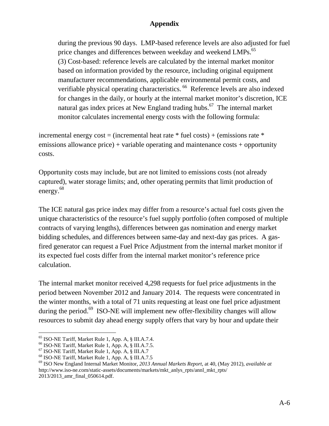during the previous 90 days. LMP-based reference levels are also adjusted for fuel price changes and differences between weekday and weekend LMPs.<sup>65</sup> (3) Cost-based: reference levels are calculated by the internal market monitor based on information provided by the resource, including original equipment manufacturer recommendations, applicable environmental permit costs, and verifiable physical operating characteristics.<sup>66</sup> Reference levels are also indexed for changes in the daily, or hourly at the internal market monitor's discretion, ICE natural gas index prices at New England trading hubs.<sup>67</sup> The internal market monitor calculates incremental energy costs with the following formula:

incremental energy cost = (incremental heat rate  $*$  fuel costs) + (emissions rate  $*$ emissions allowance price) + variable operating and maintenance costs + opportunity costs.

Opportunity costs may include, but are not limited to emissions costs (not already captured), water storage limits; and, other operating permits that limit production of energy.<sup>68</sup>

The ICE natural gas price index may differ from a resource's actual fuel costs given the unique characteristics of the resource's fuel supply portfolio (often composed of multiple contracts of varying lengths), differences between gas nomination and energy market bidding schedules, and differences between same-day and next-day gas prices. A gasfired generator can request a Fuel Price Adjustment from the internal market monitor if its expected fuel costs differ from the internal market monitor's reference price calculation.

The internal market monitor received 4,298 requests for fuel price adjustments in the period between November 2012 and January 2014. The requests were concentrated in the winter months, with a total of 71 units requesting at least one fuel price adjustment during the period.<sup>69</sup> ISO-NE will implement new offer-flexibility changes will allow resources to submit day ahead energy supply offers that vary by hour and update their

 $\overline{a}$ 65 ISO-NE Tariff, Market Rule 1, App. A, § III.A.7.4.

<sup>66</sup> ISO-NE Tariff, Market Rule 1, App. A, § III.A.7.5.

<sup>67</sup> ISO-NE Tariff, Market Rule 1, App. A, § III.A.7

<sup>68</sup> ISO-NE Tariff, Market Rule 1, App. A, § III.A.7.5

<sup>69</sup> ISO New England Internal Market Monitor, *2013 Annual Markets Report*, at 40, (May 2012), *available at* http://www.iso-ne.com/static-assets/documents/markets/mkt\_anlys\_rpts/annl\_mkt\_rpts/ 2013/2013\_amr\_final\_050614.pdf.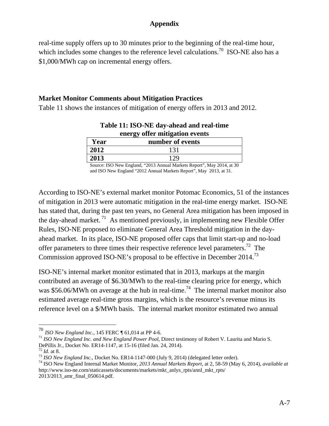real-time supply offers up to 30 minutes prior to the beginning of the real-time hour, which includes some changes to the reference level calculations.<sup>70</sup> ISO-NE also has a \$1,000/MWh cap on incremental energy offers.

#### **Market Monitor Comments about Mitigation Practices**

Table 11 shows the instances of mitigation of energy offers in 2013 and 2012.

| energy offer mitigation events |                  |  |  |  |  |  |  |
|--------------------------------|------------------|--|--|--|--|--|--|
| Year                           | number of events |  |  |  |  |  |  |
| 2012                           | 131              |  |  |  |  |  |  |
| 2013                           |                  |  |  |  |  |  |  |
|                                |                  |  |  |  |  |  |  |

**Table 11: ISO-NE day-ahead and real-time energy offer mitigation events** 

Source: ISO New England, "2013 Annual Markets Report", May 2014, at 30 and ISO New England "2012 Annual Markets Report", May 2013, at 31.

According to ISO-NE's external market monitor Potomac Economics, 51 of the instances of mitigation in 2013 were automatic mitigation in the real-time energy market. ISO-NE has stated that, during the past ten years, no General Area mitigation has been imposed in the day-ahead market.<sup>71</sup> As mentioned previously, in implementing new Flexible Offer Rules, ISO-NE proposed to eliminate General Area Threshold mitigation in the dayahead market. In its place, ISO-NE proposed offer caps that limit start-up and no-load offer parameters to three times their respective reference level parameters.<sup>72</sup> The Commission approved ISO-NE's proposal to be effective in December 2014.73

ISO-NE's internal market monitor estimated that in 2013, markups at the margin contributed an average of \$6.30/MWh to the real-time clearing price for energy, which was \$56.06/MWh on average at the hub in real-time.<sup>74</sup> The internal market monitor also estimated average real-time gross margins, which is the resource's revenue minus its reference level on a \$/MWh basis. The internal market monitor estimated two annual

<sup>&</sup>lt;sup>70</sup> *ISO New England Inc.*, 145 FERC *¶* 61,014 at PP 4-6.<br><sup>71</sup> *ISO New England Inc. and New England Power Pool*, Direct testimony of Robert V. Laurita and Mario S. DePillis Jr., Docket No. ER14-1147, at 15-16 (filed Jan. 24, 2014).<br><sup>72</sup> Id. at 8.<br><sup>73</sup> ISO New England Inc., Docket No. ER14-1147-000 (July 9, 2014) (delegated letter order).<br><sup>74</sup> ISO New England Internal Market Monitor,

http://www.iso-ne.com/staticassets/documents/markets/mkt\_anlys\_rpts/annl\_mkt\_rpts/

<sup>2013/2013</sup>\_amr\_final\_050614.pdf.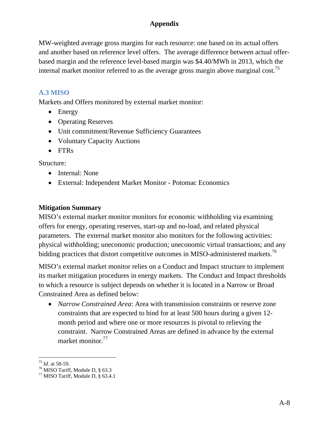MW-weighted average gross margins for each resource: one based on its actual offers and another based on reference level offers. The average difference between actual offerbased margin and the reference level-based margin was \$4.40/MWh in 2013, which the internal market monitor referred to as the average gross margin above marginal cost.<sup>75</sup>

# **A.3 MISO**

Markets and Offers monitored by external market monitor:

- Energy
- Operating Reserves
- Unit commitment/Revenue Sufficiency Guarantees
- Voluntary Capacity Auctions
- FTR<sub>s</sub>

Structure:

- Internal: None
- External: Independent Market Monitor Potomac Economics

#### **Mitigation Summary**

MISO's external market monitor monitors for economic withholding via examining offers for energy, operating reserves, start-up and no-load, and related physical parameters. The external market monitor also monitors for the following activities: physical withholding; uneconomic production; uneconomic virtual transactions; and any bidding practices that distort competitive outcomes in MISO-administered markets.<sup>76</sup>

MISO's external market monitor relies on a Conduct and Impact structure to implement its market mitigation procedures in energy markets. The Conduct and Impact thresholds to which a resource is subject depends on whether it is located in a Narrow or Broad Constrained Area as defined below:

 *Narrow Constrained Area*: Area with transmission constraints or reserve zone constraints that are expected to bind for at least 500 hours during a given 12 month period and where one or more resources is pivotal to relieving the constraint. Narrow Constrained Areas are defined in advance by the external market monitor.<sup>77</sup>

<sup>&</sup>lt;sup>75</sup> *Id*. at 58-59.<br><sup>76</sup> MISO Tariff, Module D, § 63.3

<sup>77</sup> MISO Tariff, Module D, § 63.4.1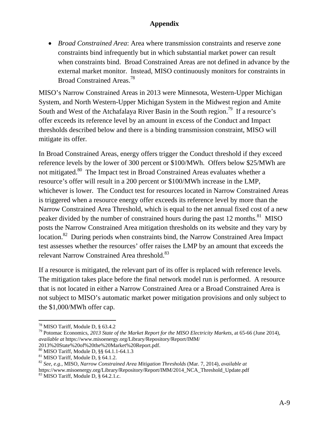*Broad Constrained Area*: Area where transmission constraints and reserve zone constraints bind infrequently but in which substantial market power can result when constraints bind. Broad Constrained Areas are not defined in advance by the external market monitor. Instead, MISO continuously monitors for constraints in Broad Constrained Areas.<sup>78</sup>

MISO's Narrow Constrained Areas in 2013 were Minnesota, Western-Upper Michigan System, and North Western-Upper Michigan System in the Midwest region and Amite South and West of the Atchafalaya River Basin in the South region.<sup>79</sup> If a resource's offer exceeds its reference level by an amount in excess of the Conduct and Impact thresholds described below and there is a binding transmission constraint, MISO will mitigate its offer.

In Broad Constrained Areas, energy offers trigger the Conduct threshold if they exceed reference levels by the lower of 300 percent or \$100/MWh. Offers below \$25/MWh are not mitigated.<sup>80</sup> The Impact test in Broad Constrained Areas evaluates whether a resource's offer will result in a 200 percent or \$100/MWh increase in the LMP, whichever is lower. The Conduct test for resources located in Narrow Constrained Areas is triggered when a resource energy offer exceeds its reference level by more than the Narrow Constrained Area Threshold, which is equal to the net annual fixed cost of a new peaker divided by the number of constrained hours during the past 12 months.<sup>81</sup> MISO posts the Narrow Constrained Area mitigation thresholds on its website and they vary by location.<sup>82</sup> During periods when constraints bind, the Narrow Constrained Area Impact test assesses whether the resources' offer raises the LMP by an amount that exceeds the relevant Narrow Constrained Area threshold.<sup>83</sup>

If a resource is mitigated, the relevant part of its offer is replaced with reference levels. The mitigation takes place before the final network model run is performed. A resource that is not located in either a Narrow Constrained Area or a Broad Constrained Area is not subject to MISO's automatic market power mitigation provisions and only subject to the \$1,000/MWh offer cap.

 $\overline{a}$  $78$  MISO Tariff, Module D,  $\S$  63.4.2

<sup>79</sup> Potomac Economics, *2013 State of the Market Report for the MISO Electricity Markets*, at 65-66 (June 2014), *available at* https://www.misoenergy.org/Library/Repository/Report/IMM/

<sup>2013%20</sup>State%20of%20the%20Market%20Report.pdf.

<sup>80</sup> MISO Tariff, Module D, §§ 64.1.1-64.1.3

<sup>81</sup> MISO Tariff, Module D, § 64.1.2.

<sup>82</sup> *See, e.g.*, MISO, *Narrow Constrained Area Mitigation Thresholds* (Mar. 7, 2014), *available at* https://www.misoenergy.org/Library/Repository/Report/IMM/2014\_NCA\_Threshold\_Update.pdf 83 MISO Tariff, Module D, § 64.2.1.c.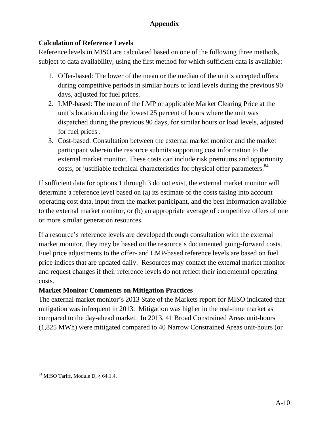# **Calculation of Reference Levels**

Reference levels in MISO are calculated based on one of the following three methods, subject to data availability, using the first method for which sufficient data is available:

- 1. Offer-based: The lower of the mean or the median of the unit's accepted offers during competitive periods in similar hours or load levels during the previous 90 days, adjusted for fuel prices.
- 2. LMP-based: The mean of the LMP or applicable Market Clearing Price at the unit's location during the lowest 25 percent of hours where the unit was dispatched during the previous 90 days, for similar hours or load levels, adjusted for fuel prices .
- 3. Cost-based: Consultation between the external market monitor and the market participant wherein the resource submits supporting cost information to the external market monitor. These costs can include risk premiums and opportunity costs, or justifiable technical characteristics for physical offer parameters.<sup>84</sup>

If sufficient data for options 1 through 3 do not exist, the external market monitor will determine a reference level based on (a) its estimate of the costs taking into account operating cost data, input from the market participant, and the best information available to the external market monitor, or (b) an appropriate average of competitive offers of one or more similar generation resources.

If a resource's reference levels are developed through consultation with the external market monitor, they may be based on the resource's documented going-forward costs. Fuel price adjustments to the offer- and LMP-based reference levels are based on fuel price indices that are updated daily. Resources may contact the external market monitor and request changes if their reference levels do not reflect their incremental operating costs.

# **Market Monitor Comments on Mitigation Practices**

The external market monitor's 2013 State of the Markets report for MISO indicated that mitigation was infrequent in 2013. Mitigation was higher in the real-time market as compared to the day-ahead market. In 2013, 41 Broad Constrained Areas unit-hours (1,825 MWh) were mitigated compared to 40 Narrow Constrained Areas unit-hours (or

 $\overline{a}$ 84 MISO Tariff, Module D, § 64.1.4.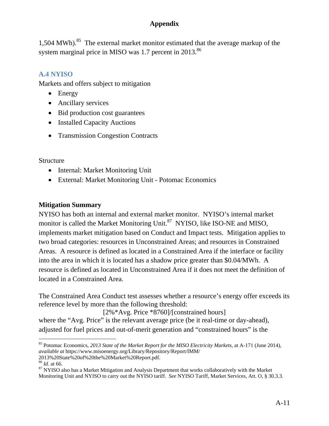1,504 MWh).<sup>85</sup> The external market monitor estimated that the average markup of the system marginal price in MISO was 1.7 percent in 2013.<sup>86</sup>

# **A.4 NYISO**

Markets and offers subject to mitigation

- Energy
- Ancillary services
- Bid production cost guarantees
- Installed Capacity Auctions
- Transmission Congestion Contracts

#### **Structure**

- Internal: Market Monitoring Unit
- External: Market Monitoring Unit Potomac Economics

#### **Mitigation Summary**

NYISO has both an internal and external market monitor. NYISO's internal market monitor is called the Market Monitoring Unit.<sup>87</sup> NYISO, like ISO-NE and MISO, implements market mitigation based on Conduct and Impact tests. Mitigation applies to two broad categories: resources in Unconstrained Areas; and resources in Constrained Areas. A resource is defined as located in a Constrained Area if the interface or facility into the area in which it is located has a shadow price greater than \$0.04/MWh. A resource is defined as located in Unconstrained Area if it does not meet the definition of located in a Constrained Area.

The Constrained Area Conduct test assesses whether a resource's energy offer exceeds its reference level by more than the following threshold:

[2%\*Avg. Price \*8760]/[constrained hours] where the "Avg. Price" is the relevant average price (be it real-time or day-ahead), adjusted for fuel prices and out-of-merit generation and "constrained hours" is the

<sup>85</sup> Potomac Economics, *2013 State of the Market Report for the MISO Electricity Markets*, at A-171 (June 2014), *available at* https://www.misoenergy.org/Library/Repository/Report/IMM/ 2013%20State%20of%20the%20Market%20Report.pdf.

<sup>&</sup>lt;sup>87</sup> NYISO also has a Market Mitigation and Analysis Department that works collaboratively with the Market Monitoring Unit and NYISO to carry out the NYISO tariff. *See* NYISO Tariff, Market Services, Att. O, § 30.3.3.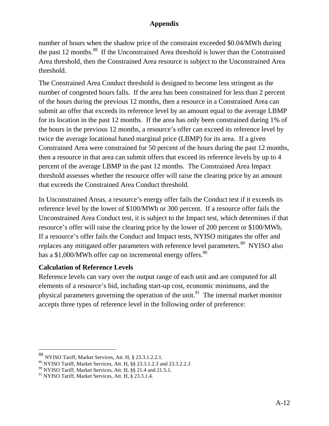number of hours when the shadow price of the constraint exceeded \$0.04/MWh during the past 12 months.<sup>88</sup> If the Unconstrained Area threshold is lower than the Constrained Area threshold, then the Constrained Area resource is subject to the Unconstrained Area threshold.

The Constrained Area Conduct threshold is designed to become less stringent as the number of congested hours falls. If the area has been constrained for less than 2 percent of the hours during the previous 12 months, then a resource in a Constrained Area can submit an offer that exceeds its reference level by an amount equal to the average LBMP for its location in the past 12 months. If the area has only been constrained during 1% of the hours in the previous 12 months, a resource's offer can exceed its reference level by twice the average locational based marginal price (LBMP) for its area. If a given Constrained Area were constrained for 50 percent of the hours during the past 12 months, then a resource in that area can submit offers that exceed its reference levels by up to 4 percent of the average LBMP in the past 12 months. The Constrained Area Impact threshold assesses whether the resource offer will raise the clearing price by an amount that exceeds the Constrained Area Conduct threshold.

In Unconstrained Areas, a resource's energy offer fails the Conduct test if it exceeds its reference level by the lower of \$100/MWh or 300 percent. If a resource offer fails the Unconstrained Area Conduct test, it is subject to the Impact test, which determines if that resource's offer will raise the clearing price by the lower of 200 percent or \$100/MWh. If a resource's offer fails the Conduct and Impact tests, NYISO mitigates the offer and replaces any mitigated offer parameters with reference level parameters.<sup>89</sup> NYISO also has a \$1,000/MWh offer cap on incremental energy offers.<sup>90</sup>

#### **Calculation of Reference Levels**

Reference levels can vary over the output range of each unit and are computed for all elements of a resource's bid, including start-up cost, economic minimums, and the physical parameters governing the operation of the unit.<sup>91</sup> The internal market monitor accepts three types of reference level in the following order of preference:

<sup>88</sup> NYISO Tariff, Market Services, Att. H, § 23.3.1.2.2.1.

<sup>89</sup> NYISO Tariff, Market Services, Att. H, §§ 23.3.1.2.3 and 23.3.2.2.3

<sup>&</sup>lt;sup>90</sup> NYISO Tariff, Market Services, Att. H, §§ 21.4 and 21.5.1.

<sup>&</sup>lt;sup>91</sup> NYISO Tariff, Market Services, Att. H, § 23.3.1.4.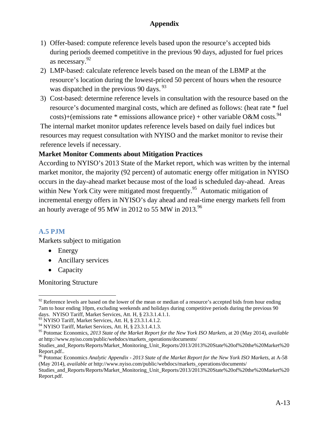- 1) Offer-based: compute reference levels based upon the resource's accepted bids during periods deemed competitive in the previous 90 days, adjusted for fuel prices as necessary.92
- 2) LMP-based: calculate reference levels based on the mean of the LBMP at the resource's location during the lowest-priced 50 percent of hours when the resource was dispatched in the previous 90 days. <sup>93</sup>
- 3) Cost-based: determine reference levels in consultation with the resource based on the resource's documented marginal costs, which are defined as follows: (heat rate \* fuel costs)+(emissions rate \* emissions allowance price) + other variable O&M costs.<sup>94</sup>

The internal market monitor updates reference levels based on daily fuel indices but resources may request consultation with NYISO and the market monitor to revise their reference levels if necessary.

#### **Market Monitor Comments about Mitigation Practices**

According to NYISO's 2013 State of the Market report, which was written by the internal market monitor, the majority (92 percent) of automatic energy offer mitigation in NYISO occurs in the day-ahead market because most of the load is scheduled day-ahead. Areas within New York City were mitigated most frequently.<sup>95</sup> Automatic mitigation of incremental energy offers in NYISO's day ahead and real-time energy markets fell from an hourly average of 95 MW in 2012 to 55 MW in 2013.<sup>96</sup>

#### **A.5 PJM**

Markets subject to mitigation

- Energy
- Ancillary services
- Capacity

Monitoring Structure

 $\overline{a}$  $92$  Reference levels are based on the lower of the mean or median of a resource's accepted bids from hour ending 7am to hour ending 10pm, excluding weekends and holidays during competitive periods during the previous 90 days. NYISO Tariff, Market Services, Att. H, § 23.3.1.4.1.1.

<sup>93</sup> NYISO Tariff, Market Services, Att. H, § 23.3.1.4.1.2.

<sup>94</sup> NYISO Tariff, Market Services, Att. H, § 23.3.1.4.1.3.

<sup>95</sup> Potomac Economics, *2013 State of the Market Report for the New York ISO Markets*, at 20 (May 2014), *available at* http://www.nyiso.com/public/webdocs/markets\_operations/documents/

Studies\_and\_Reports/Reports/Market\_Monitoring\_Unit\_Reports/2013/2013%20State%20of%20the%20Market%20 Report.pdf..

<sup>96</sup> Potomac Economics *Analytic Appendix - 2013 State of the Market Report for the New York ISO Markets*, at A-58 (May 2014), *available at* http://www.nyiso.com/public/webdocs/markets\_operations/documents/

Studies\_and\_Reports/Reports/Market\_Monitoring\_Unit\_Reports/2013/2013%20State%20of%20the%20Market%20 Report.pdf.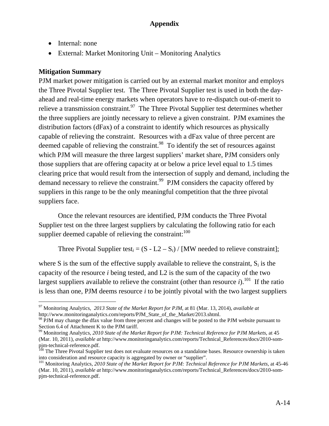- Internal: none
- External: Market Monitoring Unit Monitoring Analytics

#### **Mitigation Summary**

PJM market power mitigation is carried out by an external market monitor and employs the Three Pivotal Supplier test. The Three Pivotal Supplier test is used in both the dayahead and real-time energy markets when operators have to re-dispatch out-of-merit to relieve a transmission constraint.<sup>97</sup> The Three Pivotal Supplier test determines whether the three suppliers are jointly necessary to relieve a given constraint. PJM examines the distribution factors (dFax) of a constraint to identify which resources as physically capable of relieving the constraint. Resources with a dFax value of three percent are deemed capable of relieving the constraint.<sup>98</sup> To identify the set of resources against which PJM will measure the three largest suppliers' market share, PJM considers only those suppliers that are offering capacity at or below a price level equal to 1.5 times clearing price that would result from the intersection of supply and demand, including the demand necessary to relieve the constraint.<sup>99</sup> PJM considers the capacity offered by suppliers in this range to be the only meaningful competition that the three pivotal suppliers face.

Once the relevant resources are identified, PJM conducts the Three Pivotal Supplier test on the three largest suppliers by calculating the following ratio for each supplier deemed capable of relieving the constraint:  $100$ 

Three Pivotal Supplier test<sub>*i*</sub> =  $(S - L2 - S_i)$  / [MW needed to relieve constraint];

where S is the sum of the effective supply available to relieve the constraint,  $S_i$  is the capacity of the resource *i* being tested, and L2 is the sum of the capacity of the two largest suppliers available to relieve the constraint (other than resource  $i$ ).<sup>101</sup> If the ratio is less than one, PJM deems resource *i* to be jointly pivotal with the two largest suppliers

 $\overline{a}$ 97 Monitoring Analytics, *2013 State of the Market Report for PJM*, at 81 (Mar. 13, 2014), *available at* http://www.monitoringanalytics.com/reports/PJM\_State\_of\_the\_Market/2013.shtml.

<sup>&</sup>lt;sup>98</sup> PJM may change the dfax value from three percent and changes will be posted to the PJM website pursuant to Section 6.4 of Attachment K to the PJM tariff.

<sup>99</sup> Monitoring Analytics, *2010 State of the Market Report for PJM: Technical Reference for PJM Markets*, at 45 (Mar. 10, 2011), *available at* http://www.monitoringanalytics.com/reports/Technical\_References/docs/2010-sompjm-technical-reference.pdf.

<sup>&</sup>lt;sup>100</sup> The Three Pivotal Supplier test does not evaluate resources on a standalone bases. Resource ownership is taken into consideration and resource capacity is aggregated by owner or "supplier".<br><sup>101</sup> Monitoring Analytics, *2010 State of the Market Report for PJM: Technical Reference for PJM Markets*, at 45-46

<sup>(</sup>Mar. 10, 2011), *available at* http://www.monitoringanalytics.com/reports/Technical\_References/docs/2010-sompjm-technical-reference.pdf.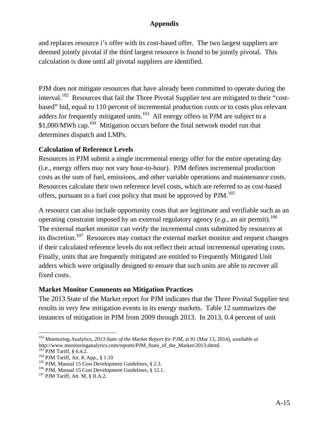and replaces resource i's offer with its cost-based offer. The two largest suppliers are deemed jointly pivotal if the third largest resource is found to be jointly pivotal. This calculation is done until all pivotal suppliers are identified.

PJM does not mitigate resources that have already been committed to operate during the interval.<sup>102</sup> Resources that fail the Three Pivotal Supplier test are mitigated to their "costbased" bid, equal to 110 percent of incremental production costs or to costs plus relevant adders for frequently mitigated units. $103$  All energy offers in PJM are subject to a  $$1,000/MWh$  cap.<sup>104</sup> Mitigation occurs before the final network model run that determines dispatch and LMPs.

#### **Calculation of Reference Levels**

Resources in PJM submit a single incremental energy offer for the entire operating day (i.e., energy offers may not vary hour-to-hour). PJM defines incremental production costs as the sum of fuel, emissions, and other variable operations and maintenance costs. Resources calculate their own reference level costs, which are referred to as cost-based offers, pursuant to a fuel cost policy that must be approved by PJM.<sup>105</sup>

A resource can also include opportunity costs that are legitimate and verifiable such as an operating constraint imposed by an external regulatory agency  $(e.g.,\text{ an air permit})$ .<sup>106</sup> The external market monitor can verify the incremental costs submitted by resources at its discretion.<sup>107</sup> Resources may contact the external market monitor and request changes if their calculated reference levels do not reflect their actual incremental operating costs. Finally, units that are frequently mitigated are entitled to Frequently Mitigated Unit adders which were originally designed to ensure that such units are able to recover all fixed costs.

#### **Market Monitor Comments on Mitigation Practices**

The 2013 State of the Market report for PJM indicates that the Three Pivotal Supplier test results in very few mitigation events in its energy markets. Table 12 summarizes the instances of mitigation in PJM from 2009 through 2013. In 2013, 0.4 percent of unit

 $\overline{a}$ 102 Monitoring Analytics, *2013 State of the Market Report for PJM*, at 81 (Mar 13, 2014), *available at* http://www.monitoringanalytics.com/reports/PJM\_State\_of\_the\_Market/2013.shtml.

<sup>&</sup>lt;sup>103</sup> PJM Tariff, § 6.4.2.<br><sup>104</sup> PJM Tariff, Att. K App., § 1.10<br><sup>105</sup> PJM, Manual 15 Cost Development Guidelines, § 2.3.<br><sup>106</sup> PJM, Manual 15 Cost Development Guidelines, § 12.1.<br><sup>107</sup> PJM Tariff, Att. M, § II.A.2.